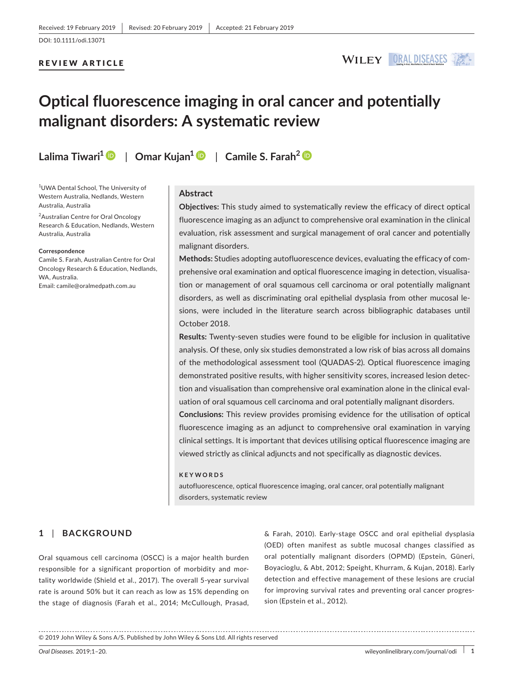## REVIEW ARTICLE



# **Optical fluorescence imaging in oral cancer and potentially malignant disorders: A systematic review**

**Lalima Tiwari[1](https://orcid.org/0000-0001-5305-2953)** | **Omar Kujan<sup>1</sup>** | **Camile S. Farah[2](https://orcid.org/0000-0002-1642-6204)**

1 UWA Dental School, The University of Western Australia, Nedlands, Western Australia, Australia

<sup>2</sup> Australian Centre for Oral Oncology Research & Education, Nedlands, Western Australia, Australia

#### **Correspondence**

Camile S. Farah, Australian Centre for Oral Oncology Research & Education, Nedlands, WA, Australia. Email: [camile@oralmedpath.com.au](mailto:camile@oralmedpath.com.au)

## **Abstract**

**Objectives:** This study aimed to systematically review the efficacy of direct optical fluorescence imaging as an adjunct to comprehensive oral examination in the clinical evaluation, risk assessment and surgical management of oral cancer and potentially malignant disorders.

**Methods:** Studies adopting autofluorescence devices, evaluating the efficacy of com‐ prehensive oral examination and optical fluorescence imaging in detection, visualisation or management of oral squamous cell carcinoma or oral potentially malignant disorders, as well as discriminating oral epithelial dysplasia from other mucosal le‐ sions, were included in the literature search across bibliographic databases until October 2018.

**Results:** Twenty‐seven studies were found to be eligible for inclusion in qualitative analysis. Of these, only six studies demonstrated a low risk of bias across all domains of the methodological assessment tool (QUADAS‐2). Optical fluorescence imaging demonstrated positive results, with higher sensitivity scores, increased lesion detec‐ tion and visualisation than comprehensive oral examination alone in the clinical eval‐ uation of oral squamous cell carcinoma and oral potentially malignant disorders.

**Conclusions:** This review provides promising evidence for the utilisation of optical fluorescence imaging as an adjunct to comprehensive oral examination in varying clinical settings. It is important that devices utilising optical fluorescence imaging are viewed strictly as clinical adjuncts and not specifically as diagnostic devices.

#### **KEYWORDS**

autofluorescence, optical fluorescence imaging, oral cancer, oral potentially malignant disorders, systematic review

## **1** | **BACKGROUND**

Oral squamous cell carcinoma (OSCC) is a major health burden responsible for a significant proportion of morbidity and mor‐ tality worldwide (Shield et al., 2017). The overall 5‐year survival rate is around 50% but it can reach as low as 15% depending on the stage of diagnosis (Farah et al., 2014; McCullough, Prasad,

& Farah, 2010). Early‐stage OSCC and oral epithelial dysplasia (OED) often manifest as subtle mucosal changes classified as oral potentially malignant disorders (OPMD) (Epstein, Güneri, Boyacioglu, & Abt, 2012; Speight, Khurram, & Kujan, 2018). Early detection and effective management of these lesions are crucial for improving survival rates and preventing oral cancer progres‐ sion (Epstein et al., 2012).

<sup>© 2019</sup> John Wiley & Sons A/S. Published by John Wiley & Sons Ltd. All rights reserved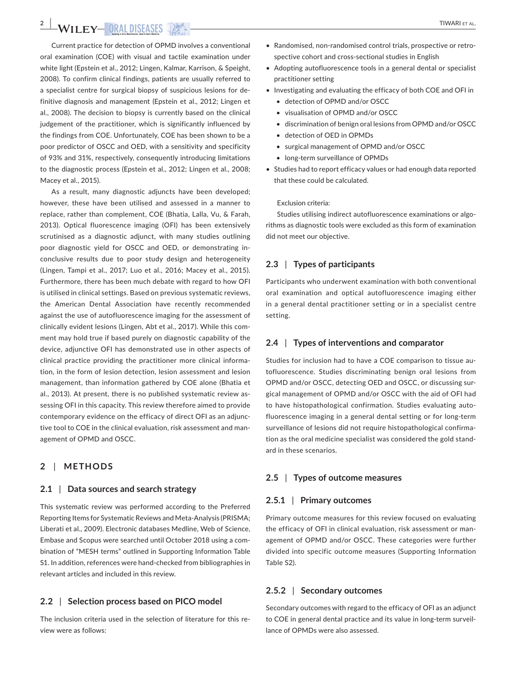# **2 WILEY ORAL DISEASES** *DE*

Current practice for detection of OPMD involves a conventional oral examination (COE) with visual and tactile examination under white light (Epstein et al., 2012; Lingen, Kalmar, Karrison, & Speight, 2008). To confirm clinical findings, patients are usually referred to a specialist centre for surgical biopsy of suspicious lesions for de‐ finitive diagnosis and management (Epstein et al., 2012; Lingen et al., 2008). The decision to biopsy is currently based on the clinical judgement of the practitioner, which is significantly influenced by the findings from COE. Unfortunately, COE has been shown to be a poor predictor of OSCC and OED, with a sensitivity and specificity of 93% and 31%, respectively, consequently introducing limitations to the diagnostic process (Epstein et al., 2012; Lingen et al., 2008; Macey et al., 2015).

As a result, many diagnostic adjuncts have been developed; however, these have been utilised and assessed in a manner to replace, rather than complement, COE (Bhatia, Lalla, Vu, & Farah, 2013). Optical fluorescence imaging (OFI) has been extensively scrutinised as a diagnostic adjunct, with many studies outlining poor diagnostic yield for OSCC and OED, or demonstrating in‐ conclusive results due to poor study design and heterogeneity (Lingen, Tampi et al., 2017; Luo et al., 2016; Macey et al., 2015). Furthermore, there has been much debate with regard to how OFI is utilised in clinical settings. Based on previous systematic reviews, the American Dental Association have recently recommended against the use of autofluorescence imaging for the assessment of clinically evident lesions (Lingen, Abt et al., 2017). While this com‐ ment may hold true if based purely on diagnostic capability of the device, adjunctive OFI has demonstrated use in other aspects of clinical practice providing the practitioner more clinical informa‐ tion, in the form of lesion detection, lesion assessment and lesion management, than information gathered by COE alone (Bhatia et al., 2013). At present, there is no published systematic review assessing OFI in this capacity. This review therefore aimed to provide contemporary evidence on the efficacy of direct OFI as an adjunc‐ tive tool to COE in the clinical evaluation, risk assessment and man‐ agement of OPMD and OSCC.

## **2** | **METHODS**

### **2.1** | **Data sources and search strategy**

This systematic review was performed according to the Preferred Reporting Items for Systematic Reviews and Meta‐Analysis (PRISMA; Liberati et al., 2009). Electronic databases Medline, Web of Science, Embase and Scopus were searched until October 2018 using a com‐ bination of "MESH terms" outlined in Supporting Information Table S1. In addition, references were hand‐checked from bibliographies in relevant articles and included in this review.

## **2.2** | **Selection process based on PICO model**

The inclusion criteria used in the selection of literature for this re‐ view were as follows:

- Randomised, non-randomised control trials, prospective or retrospective cohort and cross-sectional studies in English
- Adopting autofluorescence tools in a general dental or specialist practitioner setting
- Investigating and evaluating the efficacy of both COE and OFI in
	- detection of OPMD and/or OSCC
	- visualisation of OPMD and/or OSCC
	- discrimination of benign oral lesions from OPMD and/or OSCC
	- detection of OED in OPMDs
	- surgical management of OPMD and/or OSCC
	- long‐term surveillance of OPMDs
- Studies had to report efficacy values or had enough data reported that these could be calculated.

#### Exclusion criteria:

Studies utilising indirect autofluorescence examinations or algorithms as diagnostic tools were excluded as this form of examination did not meet our objective.

## **2.3** | **Types of participants**

Participants who underwent examination with both conventional oral examination and optical autofluorescence imaging either in a general dental practitioner setting or in a specialist centre setting.

## **2.4** | **Types of interventions and comparator**

Studies for inclusion had to have a COE comparison to tissue au‐ tofluorescence. Studies discriminating benign oral lesions from OPMD and/or OSCC, detecting OED and OSCC, or discussing sur‐ gical management of OPMD and/or OSCC with the aid of OFI had to have histopathological confirmation. Studies evaluating auto‐ fluorescence imaging in a general dental setting or for long‐term surveillance of lesions did not require histopathological confirma‐ tion as the oral medicine specialist was considered the gold stand‐ ard in these scenarios.

## **2.5** | **Types of outcome measures**

## **2.5.1** | **Primary outcomes**

Primary outcome measures for this review focused on evaluating the efficacy of OFI in clinical evaluation, risk assessment or man‐ agement of OPMD and/or OSCC. These categories were further divided into specific outcome measures (Supporting Information Table S2).

### **2.5.2** | **Secondary outcomes**

Secondary outcomes with regard to the efficacy of OFI as an adjunct to COE in general dental practice and its value in long-term surveillance of OPMDs were also assessed.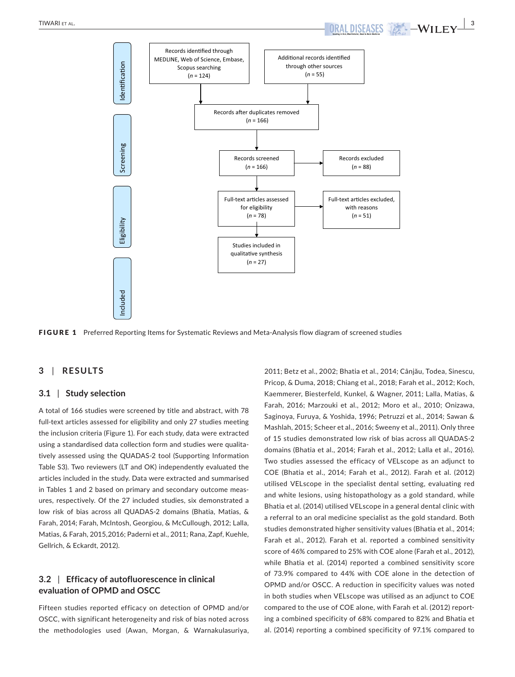

## **3** | **RESULTS**

## **3.1** | **Study selection**

A total of 166 studies were screened by title and abstract, with 78 full-text articles assessed for eligibility and only 27 studies meeting the inclusion criteria (Figure 1). For each study, data were extracted using a standardised data collection form and studies were qualita‐ tively assessed using the QUADAS‐2 tool (Supporting Information Table S3). Two reviewers (LT and OK) independently evaluated the articles included in the study. Data were extracted and summarised in Tables 1 and 2 based on primary and secondary outcome measures, respectively. Of the 27 included studies, six demonstrated a low risk of bias across all QUADAS‐2 domains (Bhatia, Matias, & Farah, 2014; Farah, McIntosh, Georgiou, & McCullough, 2012; Lalla, Matias, & Farah, 2015,2016; Paderni et al., 2011; Rana, Zapf, Kuehle, Gellrich, & Eckardt, 2012).

## **3.2** | **Efficacy of autofluorescence in clinical evaluation of OPMD and OSCC**

Fifteen studies reported efficacy on detection of OPMD and/or OSCC, with significant heterogeneity and risk of bias noted across the methodologies used (Awan, Morgan, & Warnakulasuriya, 2011; Betz et al., 2002; Bhatia et al., 2014; Cânjău, Todea, Sinescu, Pricop, & Duma, 2018; Chiang et al., 2018; Farah et al., 2012; Koch, Kaemmerer, Biesterfeld, Kunkel, & Wagner, 2011; Lalla, Matias, & Farah, 2016; Marzouki et al., 2012; Moro et al., 2010; Onizawa, Saginoya, Furuya, & Yoshida, 1996; Petruzzi et al., 2014; Sawan & Mashlah, 2015; Scheer et al., 2016; Sweeny et al., 2011). Only three of 15 studies demonstrated low risk of bias across all QUADAS‐2 domains (Bhatia et al., 2014; Farah et al., 2012; Lalla et al., 2016). Two studies assessed the efficacy of VELscope as an adjunct to COE (Bhatia et al., 2014; Farah et al., 2012). Farah et al. (2012) utilised VELscope in the specialist dental setting, evaluating red and white lesions, using histopathology as a gold standard, while Bhatia et al. (2014) utilised VELscope in a general dental clinic with a referral to an oral medicine specialist as the gold standard. Both studies demonstrated higher sensitivity values (Bhatia et al., 2014; Farah et al., 2012). Farah et al. reported a combined sensitivity score of 46% compared to 25% with COE alone (Farah et al., 2012), while Bhatia et al. (2014) reported a combined sensitivity score of 73.9% compared to 44% with COE alone in the detection of OPMD and/or OSCC. A reduction in specificity values was noted in both studies when VELscope was utilised as an adjunct to COE compared to the use of COE alone, with Farah et al. (2012) report‐ ing a combined specificity of 68% compared to 82% and Bhatia et al. (2014) reporting a combined specificity of 97.1% compared to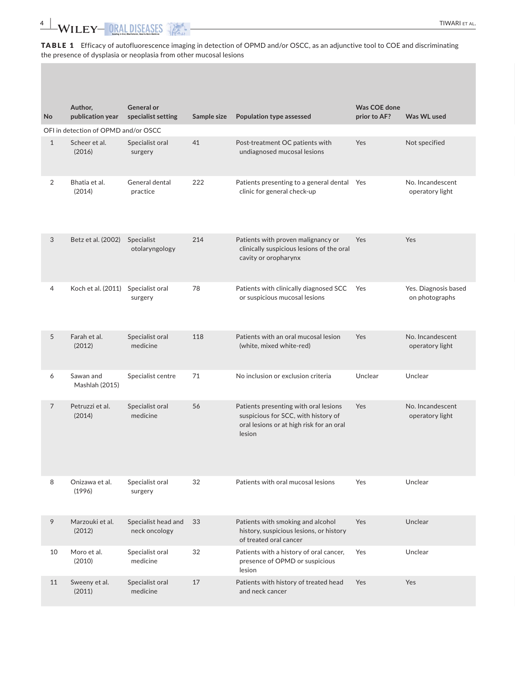TABLE 1 Efficacy of autofluorescence imaging in detection of OPMD and/or OSCC, as an adjunctive tool to COE and discriminating the presence of dysplasia or neoplasia from other mucosal lesions

|                |                                      | <b>General or</b>                    |             |                                                                                                                                    |                              |                                        |
|----------------|--------------------------------------|--------------------------------------|-------------|------------------------------------------------------------------------------------------------------------------------------------|------------------------------|----------------------------------------|
| No             | Author,<br>publication year          | specialist setting                   | Sample size | Population type assessed                                                                                                           | Was COE done<br>prior to AF? | Was WL used                            |
|                | OFI in detection of OPMD and/or OSCC |                                      |             |                                                                                                                                    |                              |                                        |
| 1              | Scheer et al.<br>(2016)              | Specialist oral<br>surgery           | 41          | Post-treatment OC patients with<br>undiagnosed mucosal lesions                                                                     | Yes                          | Not specified                          |
| 2              | Bhatia et al.<br>(2014)              | General dental<br>practice           | 222         | Patients presenting to a general dental Yes<br>clinic for general check-up                                                         |                              | No. Incandescent<br>operatory light    |
| 3              | Betz et al. (2002)                   | Specialist<br>otolaryngology         | 214         | Patients with proven malignancy or<br>clinically suspicious lesions of the oral<br>cavity or oropharynx                            | Yes                          | Yes                                    |
| $\overline{4}$ | Koch et al. (2011)                   | Specialist oral<br>surgery           | 78          | Patients with clinically diagnosed SCC Yes<br>or suspicious mucosal lesions                                                        |                              | Yes. Diagnosis based<br>on photographs |
| 5              | Farah et al.<br>(2012)               | Specialist oral<br>medicine          | 118         | Patients with an oral mucosal lesion<br>(white, mixed white-red)                                                                   | Yes                          | No. Incandescent<br>operatory light    |
| 6              | Sawan and<br>Mashlah (2015)          | Specialist centre                    | 71          | No inclusion or exclusion criteria                                                                                                 | Unclear                      | Unclear                                |
| $\overline{7}$ | Petruzzi et al.<br>(2014)            | Specialist oral<br>medicine          | 56          | Patients presenting with oral lesions<br>suspicious for SCC, with history of<br>oral lesions or at high risk for an oral<br>lesion | Yes                          | No. Incandescent<br>operatory light    |
|                | Onizawa et al.<br>(1996)             | Specialist oral<br>surgery           | 32          | Patients with oral mucosal lesions                                                                                                 | Yes                          | Unclear                                |
| 9              | Marzouki et al.<br>(2012)            | Specialist head and<br>neck oncology | 33          | Patients with smoking and alcohol<br>history, suspicious lesions, or history<br>of treated oral cancer                             | Yes                          | Unclear                                |
| 10             | Moro et al.<br>(2010)                | Specialist oral<br>medicine          | 32          | Patients with a history of oral cancer,<br>presence of OPMD or suspicious<br>lesion                                                | Yes                          | Unclear                                |
| 11             | Sweeny et al.<br>(2011)              | Specialist oral<br>medicine          | 17          | Patients with history of treated head<br>and neck cancer                                                                           | Yes                          | Yes                                    |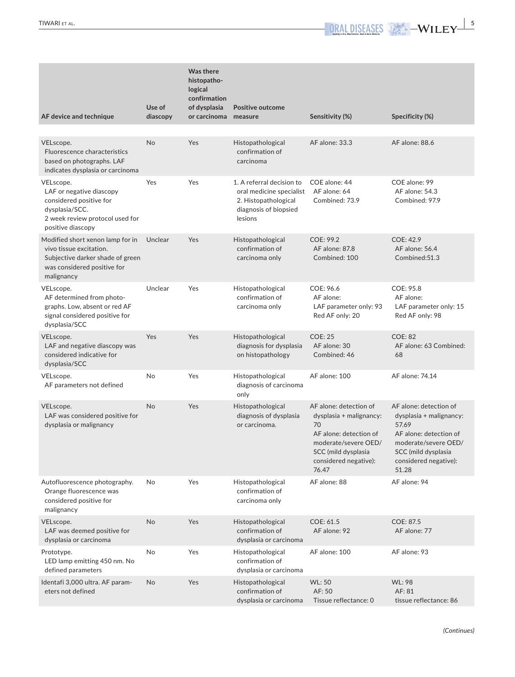| AF device and technique                                                                                                                              | Use of<br>diascopy | Was there<br>histopatho-<br>logical<br>confirmation<br>of dysplasia<br>or carcinoma measure | <b>Positive outcome</b>                                                                                           | Sensitivity (%)                                                                                                                                                    | Specificity (%)                                                                                                                                                       |
|------------------------------------------------------------------------------------------------------------------------------------------------------|--------------------|---------------------------------------------------------------------------------------------|-------------------------------------------------------------------------------------------------------------------|--------------------------------------------------------------------------------------------------------------------------------------------------------------------|-----------------------------------------------------------------------------------------------------------------------------------------------------------------------|
| VELscope.<br>Fluorescence characteristics<br>based on photographs. LAF<br>indicates dysplasia or carcinoma                                           | <b>No</b>          | Yes                                                                                         | Histopathological<br>confirmation of<br>carcinoma                                                                 | AF alone: 33.3                                                                                                                                                     | AF alone: 88.6                                                                                                                                                        |
| VELscope.<br>LAF or negative diascopy<br>considered positive for<br>dysplasia/SCC.<br>2 week review protocol used for<br>positive diascopy           | Yes                | Yes                                                                                         | 1. A referral decision to<br>oral medicine specialist<br>2. Histopathological<br>diagnosis of biopsied<br>lesions | COE alone: 44<br>AF alone: 64<br>Combined: 73.9                                                                                                                    | COE alone: 99<br>AF alone: 54.3<br>Combined: 97.9                                                                                                                     |
| Modified short xenon lamp for in Unclear<br>vivo tissue excitation.<br>Subjective darker shade of green<br>was considered positive for<br>malignancy |                    | Yes                                                                                         | Histopathological<br>confirmation of<br>carcinoma only                                                            | COE: 99.2<br>AF alone: 87.8<br>Combined: 100                                                                                                                       | COE: 42.9<br>AF alone: 56.4<br>Combined:51.3                                                                                                                          |
| VELscope.<br>AF determined from photo-<br>graphs. Low, absent or red AF<br>signal considered positive for<br>dysplasia/SCC                           | Unclear            | Yes                                                                                         | Histopathological<br>confirmation of<br>carcinoma only                                                            | COE: 96.6<br>AF alone:<br>LAF parameter only: 93<br>Red AF only: 20                                                                                                | COE: 95.8<br>AF alone:<br>LAF parameter only: 15<br>Red AF only: 98                                                                                                   |
| VELscope.<br>LAF and negative diascopy was<br>considered indicative for<br>dysplasia/SCC                                                             | Yes                | Yes                                                                                         | Histopathological<br>diagnosis for dysplasia<br>on histopathology                                                 | <b>COE: 25</b><br>AF alone: 30<br>Combined: 46                                                                                                                     | <b>COE: 82</b><br>AF alone: 63 Combined:<br>68                                                                                                                        |
| VELscope.<br>AF parameters not defined                                                                                                               | No                 | Yes                                                                                         | Histopathological<br>diagnosis of carcinoma<br>only                                                               | AF alone: 100                                                                                                                                                      | AF alone: 74.14                                                                                                                                                       |
| VELscope.<br>LAF was considered positive for<br>dysplasia or malignancy                                                                              | No                 | Yes                                                                                         | Histopathological<br>diagnosis of dysplasia<br>or carcinoma.                                                      | AF alone: detection of<br>dysplasia + malignancy:<br>70<br>AF alone: detection of<br>moderate/severe OED/<br>SCC (mild dysplasia<br>considered negative):<br>76.47 | AF alone: detection of<br>dysplasia + malignancy:<br>57.69<br>AF alone: detection of<br>moderate/severe OED/<br>SCC (mild dysplasia<br>considered negative):<br>51.28 |
| Autofluorescence photography.<br>Orange fluorescence was<br>considered positive for<br>malignancy                                                    | No                 | Yes                                                                                         | Histopathological<br>confirmation of<br>carcinoma only                                                            | AF alone: 88                                                                                                                                                       | AF alone: 94                                                                                                                                                          |
| VELscope.<br>LAF was deemed positive for<br>dysplasia or carcinoma                                                                                   | No                 | Yes                                                                                         | Histopathological<br>confirmation of<br>dysplasia or carcinoma                                                    | COE: 61.5<br>AF alone: 92                                                                                                                                          | COE: 87.5<br>AF alone: 77                                                                                                                                             |
| Prototype.<br>LED lamp emitting 450 nm. No<br>defined parameters                                                                                     | No                 | Yes                                                                                         | Histopathological<br>confirmation of<br>dysplasia or carcinoma                                                    | AF alone: 100                                                                                                                                                      | AF alone: 93                                                                                                                                                          |
| Identafi 3,000 ultra. AF param-<br>eters not defined                                                                                                 | <b>No</b>          | Yes                                                                                         | Histopathological<br>confirmation of<br>dysplasia or carcinoma                                                    | WL: 50<br>AF: 50<br>Tissue reflectance: 0                                                                                                                          | WL: 98<br>AF: 81<br>tissue reflectance: 86                                                                                                                            |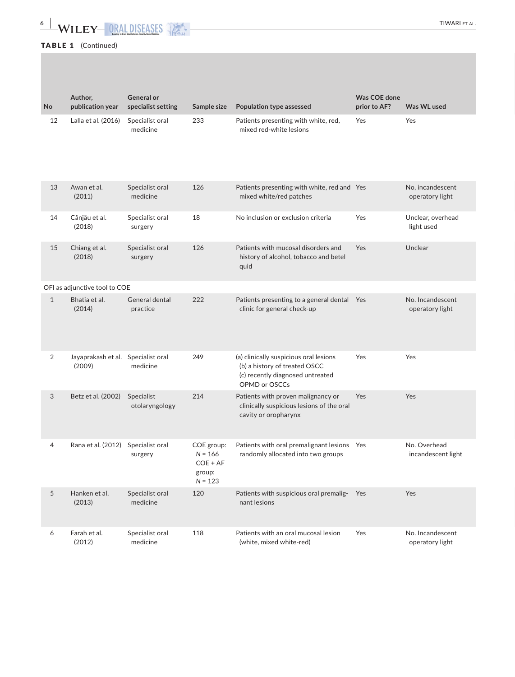# **6 |**  TIWARI et al.

# TABLE 1 (Continued)

| <b>No</b>      | Author,<br>publication year   | <b>General or</b><br>specialist setting | Sample size                                                  | Population type assessed                                                                                                     | Was COE done<br>prior to AF? | Was WL used                         |
|----------------|-------------------------------|-----------------------------------------|--------------------------------------------------------------|------------------------------------------------------------------------------------------------------------------------------|------------------------------|-------------------------------------|
| 12             | Lalla et al. (2016)           | Specialist oral<br>medicine             | 233                                                          | Patients presenting with white, red,<br>mixed red-white lesions                                                              | Yes                          | Yes                                 |
| 13             | Awan et al.<br>(2011)         | Specialist oral<br>medicine             | 126                                                          | Patients presenting with white, red and Yes<br>mixed white/red patches                                                       |                              | No, incandescent<br>operatory light |
| 14             | Cânjău et al.<br>(2018)       | Specialist oral<br>surgery              | 18                                                           | No inclusion or exclusion criteria                                                                                           | Yes                          | Unclear, overhead<br>light used     |
| 15             | Chiang et al.<br>(2018)       | Specialist oral<br>surgery              | 126                                                          | Patients with mucosal disorders and<br>history of alcohol, tobacco and betel<br>quid                                         | <b>Yes</b>                   | Unclear                             |
|                | OFI as adjunctive tool to COE |                                         |                                                              |                                                                                                                              |                              |                                     |
| $\mathbf{1}$   | Bhatia et al.<br>(2014)       | General dental<br>practice              | 222                                                          | Patients presenting to a general dental Yes<br>clinic for general check-up                                                   |                              | No. Incandescent<br>operatory light |
| $\overline{2}$ | Jayaprakash et al.<br>(2009)  | Specialist oral<br>medicine             | 249                                                          | (a) clinically suspicious oral lesions<br>(b) a history of treated OSCC<br>(c) recently diagnosed untreated<br>OPMD or OSCCs | Yes                          | Yes                                 |
| 3              | Betz et al. (2002)            | Specialist<br>otolaryngology            | 214                                                          | Patients with proven malignancy or<br>clinically suspicious lesions of the oral<br>cavity or oropharynx                      | Yes                          | Yes                                 |
| 4              | Rana et al. (2012)            | Specialist oral<br>surgery              | COE group:<br>$N = 166$<br>$COE + AF$<br>group:<br>$N = 123$ | Patients with oral premalignant lesions Yes<br>randomly allocated into two groups                                            |                              | No. Overhead<br>incandescent light  |
| 5              | Hanken et al.<br>(2013)       | Specialist oral<br>medicine             | 120                                                          | Patients with suspicious oral premalig- Yes<br>nant lesions                                                                  |                              | Yes                                 |
| 6              | Farah et al.<br>(2012)        | Specialist oral<br>medicine             | 118                                                          | Patients with an oral mucosal lesion<br>(white, mixed white-red)                                                             | Yes                          | No. Incandescent<br>operatory light |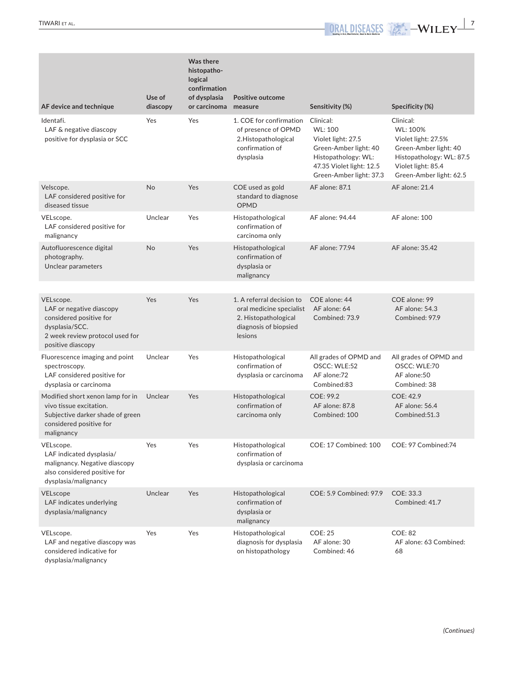| AF device and technique                                                                                                                    | Use of<br>diascopy | Was there<br>histopatho-<br>logical<br>confirmation<br>of dysplasia<br>or carcinoma measure | <b>Positive outcome</b>                                                                                                        | Sensitivity (%)                                                                                                                                   | Specificity (%)                                                                                                                                    |
|--------------------------------------------------------------------------------------------------------------------------------------------|--------------------|---------------------------------------------------------------------------------------------|--------------------------------------------------------------------------------------------------------------------------------|---------------------------------------------------------------------------------------------------------------------------------------------------|----------------------------------------------------------------------------------------------------------------------------------------------------|
| Identafi.<br>LAF & negative diascopy<br>positive for dysplasia or SCC                                                                      | Yes                | Yes                                                                                         | 1. COE for confirmation<br>of presence of OPMD<br>2. Histopathological<br>confirmation of<br>dysplasia                         | Clinical:<br>WL: 100<br>Violet light: 27.5<br>Green-Amber light: 40<br>Histopathology: WL:<br>47.35 Violet light: 12.5<br>Green-Amber light: 37.3 | Clinical:<br>WL: 100%<br>Violet light: 27.5%<br>Green-Amber light: 40<br>Histopathology: WL: 87.5<br>Violet light: 85.4<br>Green-Amber light: 62.5 |
| Velscope.<br>LAF considered positive for<br>diseased tissue                                                                                | No                 | Yes                                                                                         | COE used as gold<br>standard to diagnose<br>OPMD                                                                               | AF alone: 87.1                                                                                                                                    | AF alone: 21.4                                                                                                                                     |
| VELscope.<br>LAF considered positive for<br>malignancy                                                                                     | Unclear            | Yes                                                                                         | Histopathological<br>confirmation of<br>carcinoma only                                                                         | AF alone: 94.44                                                                                                                                   | AF alone: 100                                                                                                                                      |
| Autofluorescence digital<br>photography.<br>Unclear parameters                                                                             | No                 | Yes                                                                                         | Histopathological<br>confirmation of<br>dysplasia or<br>malignancy                                                             | AF alone: 77.94                                                                                                                                   | AF alone: 35.42                                                                                                                                    |
| VELscope.<br>LAF or negative diascopy<br>considered positive for<br>dysplasia/SCC.<br>2 week review protocol used for<br>positive diascopy | Yes                | Yes                                                                                         | 1. A referral decision to<br>oral medicine specialist AF alone: 64<br>2. Histopathological<br>diagnosis of biopsied<br>lesions | COE alone: 44<br>Combined: 73.9                                                                                                                   | COE alone: 99<br>AF alone: 54.3<br>Combined: 97.9                                                                                                  |
| Fluorescence imaging and point<br>spectroscopy.<br>LAF considered positive for<br>dysplasia or carcinoma                                   | Unclear            | Yes                                                                                         | Histopathological<br>confirmation of<br>dysplasia or carcinoma                                                                 | All grades of OPMD and<br>OSCC: WLE:52<br>AF alone:72<br>Combined:83                                                                              | All grades of OPMD and<br>OSCC: WLE:70<br>AF alone:50<br>Combined: 38                                                                              |
| Modified short xenon lamp for in<br>vivo tissue excitation.<br>Subjective darker shade of green<br>considered positive for<br>malignancy   | Unclear            | Yes                                                                                         | Histopathological<br>confirmation of<br>carcinoma only                                                                         | COE: 99.2<br>AF alone: 87.8<br>Combined: 100                                                                                                      | COE: 42.9<br>AF alone: 56.4<br>Combined:51.3                                                                                                       |
| VELscope.<br>LAF indicated dysplasia/<br>malignancy. Negative diascopy<br>also considered positive for<br>dysplasia/malignancy             | Yes                | Yes                                                                                         | Histopathological<br>confirmation of<br>dysplasia or carcinoma                                                                 | COE: 17 Combined: 100 COE: 97 Combined:74                                                                                                         |                                                                                                                                                    |
| VELscope<br>LAF indicates underlying<br>dysplasia/malignancy                                                                               | Unclear            | Yes                                                                                         | Histopathological<br>confirmation of<br>dysplasia or<br>malignancy                                                             | COE: 5.9 Combined: 97.9                                                                                                                           | COE: 33.3<br>Combined: 41.7                                                                                                                        |
| VELscope.<br>LAF and negative diascopy was<br>considered indicative for<br>dysplasia/malignancy                                            | Yes                | Yes                                                                                         | Histopathological<br>diagnosis for dysplasia<br>on histopathology                                                              | <b>COE: 25</b><br>AF alone: 30<br>Combined: 46                                                                                                    | <b>COE: 82</b><br>AF alone: 63 Combined:<br>68                                                                                                     |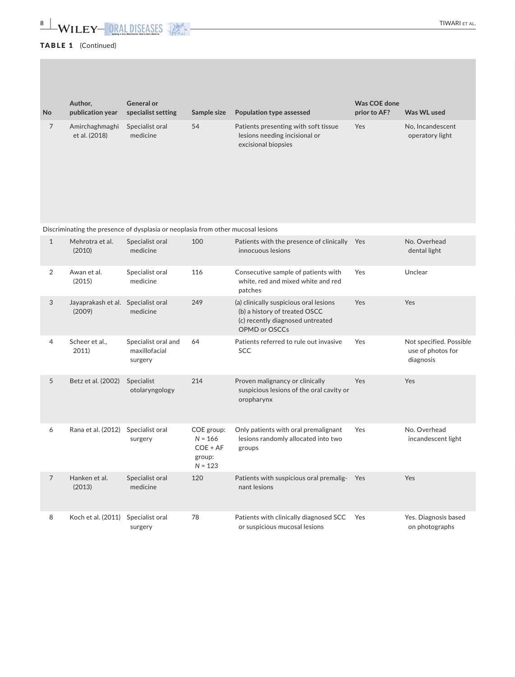# **8** WILEY-ORALDISEASES **AND ACCEPT OF ALL CONSTRALS**

# TABLE 1 (Continued)

|                | Author,                                      | <b>General or</b>                                                                |                                                              |                                                                                                                              | Was COE done |                                                           |
|----------------|----------------------------------------------|----------------------------------------------------------------------------------|--------------------------------------------------------------|------------------------------------------------------------------------------------------------------------------------------|--------------|-----------------------------------------------------------|
| No             | publication year                             | specialist setting                                                               | Sample size                                                  | Population type assessed                                                                                                     | prior to AF? | Was WL used                                               |
| $\overline{7}$ | Amirchaghmaghi<br>et al. (2018)              | Specialist oral<br>medicine                                                      | 54                                                           | Patients presenting with soft tissue<br>lesions needing incisional or<br>excisional biopsies                                 | Yes          | No, Incandescent<br>operatory light                       |
|                |                                              | Discriminating the presence of dysplasia or neoplasia from other mucosal lesions |                                                              |                                                                                                                              |              |                                                           |
| $\mathbf{1}$   | Mehrotra et al.<br>(2010)                    | Specialist oral<br>medicine                                                      | 100                                                          | Patients with the presence of clinically Yes<br>innocuous lesions                                                            |              | No. Overhead<br>dental light                              |
| 2              | Awan et al.<br>(2015)                        | Specialist oral<br>medicine                                                      | 116                                                          | Consecutive sample of patients with<br>white, red and mixed white and red<br>patches                                         | Yes          | Unclear                                                   |
| 3              | Jayaprakash et al. Specialist oral<br>(2009) | medicine                                                                         | 249                                                          | (a) clinically suspicious oral lesions<br>(b) a history of treated OSCC<br>(c) recently diagnosed untreated<br>OPMD or OSCCs | Yes          | Yes                                                       |
| 4              | Scheer et al.,<br>2011)                      | Specialist oral and<br>maxillofacial<br>surgery                                  | 64                                                           | Patients referred to rule out invasive<br><b>SCC</b>                                                                         | Yes          | Not specified. Possible<br>use of photos for<br>diagnosis |
| 5              | Betz et al. (2002)                           | Specialist<br>otolaryngology                                                     | 214                                                          | Proven malignancy or clinically<br>suspicious lesions of the oral cavity or<br>oropharynx                                    | Yes          | Yes                                                       |
| 6              | Rana et al. (2012)                           | Specialist oral<br>surgery                                                       | COE group:<br>$N = 166$<br>$COE + AF$<br>group:<br>$N = 123$ | Only patients with oral premalignant<br>lesions randomly allocated into two<br>groups                                        | Yes          | No. Overhead<br>incandescent light                        |
| $\overline{7}$ | Hanken et al.<br>(2013)                      | Specialist oral<br>medicine                                                      | 120                                                          | Patients with suspicious oral premalig- Yes<br>nant lesions                                                                  |              | Yes                                                       |
| 8              | Koch et al. (2011) Specialist oral           | surgery                                                                          | 78                                                           | Patients with clinically diagnosed SCC<br>or suspicious mucosal lesions                                                      | Yes          | Yes. Diagnosis based<br>on photographs                    |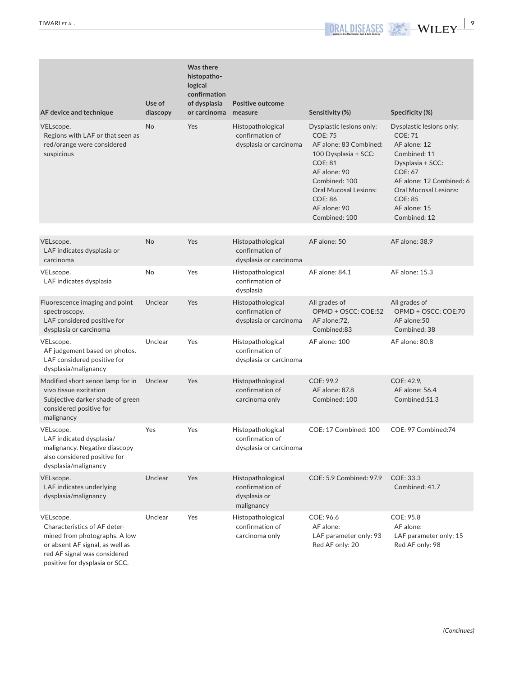| AF device and technique                                                                                                                                                         | Use of<br>diascopy | <b>Was there</b><br>histopatho-<br>logical<br>confirmation<br>of dysplasia<br>or carcinoma measure | Positive outcome                                                   | Sensitivity (%)                                                                                                                                                                                                                    | Specificity (%)                                                                                                                                                                                                                |
|---------------------------------------------------------------------------------------------------------------------------------------------------------------------------------|--------------------|----------------------------------------------------------------------------------------------------|--------------------------------------------------------------------|------------------------------------------------------------------------------------------------------------------------------------------------------------------------------------------------------------------------------------|--------------------------------------------------------------------------------------------------------------------------------------------------------------------------------------------------------------------------------|
| VELscope.<br>Regions with LAF or that seen as<br>red/orange were considered<br>suspicious                                                                                       | <b>No</b>          | Yes                                                                                                | Histopathological<br>confirmation of<br>dysplasia or carcinoma     | Dysplastic lesions only:<br><b>COE: 75</b><br>AF alone: 83 Combined:<br>100 Dysplasia + SCC:<br><b>COE: 81</b><br>AF alone: 90<br>Combined: 100<br><b>Oral Mucosal Lesions:</b><br><b>COE: 86</b><br>AF alone: 90<br>Combined: 100 | Dysplastic lesions only:<br><b>COE: 71</b><br>AF alone: 12<br>Combined: 11<br>Dysplasia + SCC:<br><b>COE: 67</b><br>AF alone: 12 Combined: 6<br><b>Oral Mucosal Lesions:</b><br><b>COE: 85</b><br>AF alone: 15<br>Combined: 12 |
| VELscope.<br>LAF indicates dysplasia or<br>carcinoma                                                                                                                            | <b>No</b>          | Yes                                                                                                | Histopathological<br>confirmation of<br>dysplasia or carcinoma     | AF alone: 50                                                                                                                                                                                                                       | AF alone: 38.9                                                                                                                                                                                                                 |
| VELscope.<br>LAF indicates dysplasia                                                                                                                                            | No                 | Yes                                                                                                | Histopathological<br>confirmation of<br>dysplasia                  | AF alone: 84.1                                                                                                                                                                                                                     | <b>AF alone: 15.3</b>                                                                                                                                                                                                          |
| Fluorescence imaging and point<br>spectroscopy.<br>LAF considered positive for<br>dysplasia or carcinoma                                                                        | Unclear            | <b>Yes</b>                                                                                         | Histopathological<br>confirmation of<br>dysplasia or carcinoma     | All grades of<br>OPMD + OSCC: COE:52<br>AF alone:72,<br>Combined:83                                                                                                                                                                | All grades of<br>OPMD + OSCC: COE:70<br>AF alone:50<br>Combined: 38                                                                                                                                                            |
| VELscope.<br>AF judgement based on photos.<br>LAF considered positive for<br>dysplasia/malignancy                                                                               | Unclear            | Yes                                                                                                | Histopathological<br>confirmation of<br>dysplasia or carcinoma     | AF alone: 100                                                                                                                                                                                                                      | AF alone: 80.8                                                                                                                                                                                                                 |
| Modified short xenon lamp for in<br>vivo tissue excitation<br>Subjective darker shade of green<br>considered positive for<br>malignancy                                         | Unclear            | Yes                                                                                                | Histopathological<br>confirmation of<br>carcinoma only             | COE: 99.2<br>AF alone: 87.8<br>Combined: 100                                                                                                                                                                                       | COE: 42.9,<br>AF alone: 56.4<br>Combined:51.3                                                                                                                                                                                  |
| VELscope.<br>LAF indicated dysplasia/<br>malignancy. Negative diascopy<br>also considered positive for<br>dysplasia/malignancy                                                  | Yes                | Yes                                                                                                | Histopathological<br>confirmation of<br>dysplasia or carcinoma     | COE: 17 Combined: 100                                                                                                                                                                                                              | COE: 97 Combined:74                                                                                                                                                                                                            |
| VELscope.<br>LAF indicates underlying<br>dysplasia/malignancy                                                                                                                   | Unclear            | Yes                                                                                                | Histopathological<br>confirmation of<br>dysplasia or<br>malignancy | COE: 5.9 Combined: 97.9                                                                                                                                                                                                            | COE: 33.3<br>Combined: 41.7                                                                                                                                                                                                    |
| VELscope.<br>Characteristics of AF deter-<br>mined from photographs. A low<br>or absent AF signal, as well as<br>red AF signal was considered<br>positive for dysplasia or SCC. | Unclear            | Yes                                                                                                | Histopathological<br>confirmation of<br>carcinoma only             | COE: 96.6<br>AF alone:<br>LAF parameter only: 93<br>Red AF only: 20                                                                                                                                                                | COE: 95.8<br>AF alone:<br>LAF parameter only: 15<br>Red AF only: 98                                                                                                                                                            |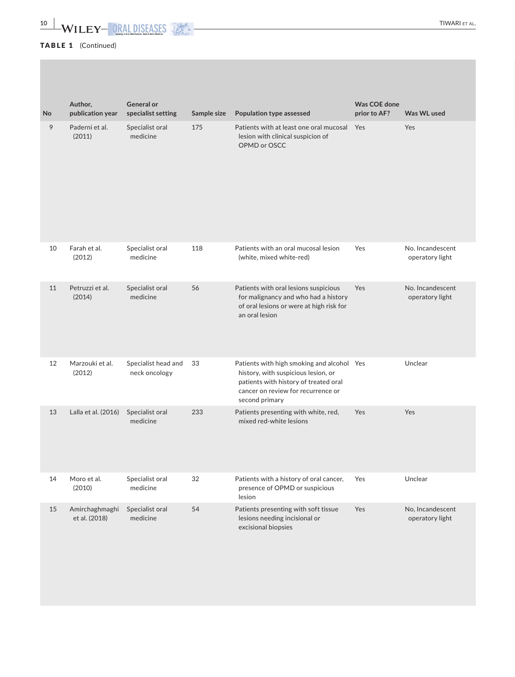# TABLE 1 (Continued)

| No | Author,<br>publication year     | <b>General or</b><br>specialist setting | Sample size | Population type assessed                                                                                                                                                           | Was COE done<br>prior to AF? | Was WL used                         |
|----|---------------------------------|-----------------------------------------|-------------|------------------------------------------------------------------------------------------------------------------------------------------------------------------------------------|------------------------------|-------------------------------------|
| 9  | Paderni et al.<br>(2011)        | Specialist oral<br>medicine             | 175         | Patients with at least one oral mucosal Yes<br>lesion with clinical suspicion of<br>OPMD or OSCC                                                                                   |                              | Yes                                 |
| 10 | Farah et al.<br>(2012)          | Specialist oral<br>medicine             | 118         | Patients with an oral mucosal lesion<br>(white, mixed white-red)                                                                                                                   | Yes                          | No. Incandescent<br>operatory light |
| 11 | Petruzzi et al.<br>(2014)       | Specialist oral<br>medicine             | 56          | Patients with oral lesions suspicious<br>for malignancy and who had a history<br>of oral lesions or were at high risk for<br>an oral lesion                                        | Yes                          | No. Incandescent<br>operatory light |
| 12 | Marzouki et al.<br>(2012)       | Specialist head and<br>neck oncology    | 33          | Patients with high smoking and alcohol Yes<br>history, with suspicious lesion, or<br>patients with history of treated oral<br>cancer on review for recurrence or<br>second primary |                              | Unclear                             |
| 13 | Lalla et al. (2016)             | Specialist oral<br>medicine             | 233         | Patients presenting with white, red,<br>mixed red-white lesions                                                                                                                    | Yes                          | Yes                                 |
| 14 | Moro et al.<br>(2010)           | Specialist oral<br>medicine             | 32          | Patients with a history of oral cancer,<br>presence of OPMD or suspicious<br>lesion                                                                                                | Yes                          | Unclear                             |
| 15 | Amirchaghmaghi<br>et al. (2018) | Specialist oral<br>medicine             | 54          | Patients presenting with soft tissue<br>lesions needing incisional or<br>excisional biopsies                                                                                       | Yes                          | No, Incandescent<br>operatory light |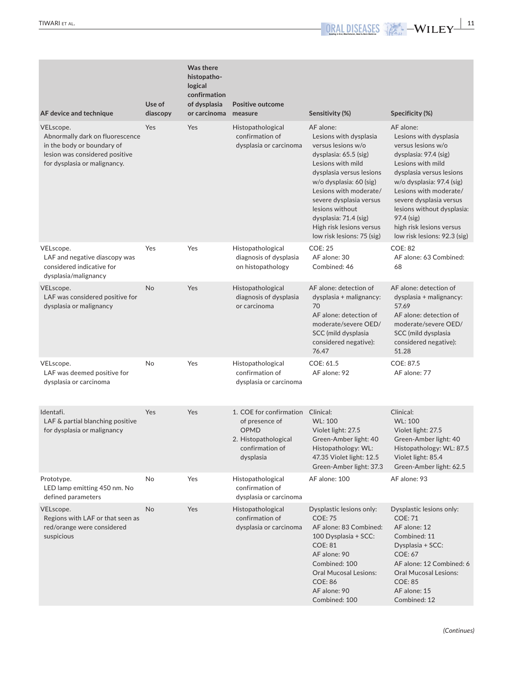| AF device and technique                                                                                                                      | Use of<br>diascopy | <b>Was there</b><br>histopatho-<br>logical<br>confirmation<br>of dysplasia<br>or carcinoma measure | <b>Positive outcome</b>                                                                                             | Sensitivity (%)                                                                                                                                                                                                                                                                                                           | Specificity (%)                                                                                                                                                                                                                                                                                                               |
|----------------------------------------------------------------------------------------------------------------------------------------------|--------------------|----------------------------------------------------------------------------------------------------|---------------------------------------------------------------------------------------------------------------------|---------------------------------------------------------------------------------------------------------------------------------------------------------------------------------------------------------------------------------------------------------------------------------------------------------------------------|-------------------------------------------------------------------------------------------------------------------------------------------------------------------------------------------------------------------------------------------------------------------------------------------------------------------------------|
| VELscope.<br>Abnormally dark on fluorescence<br>in the body or boundary of<br>lesion was considered positive<br>for dysplasia or malignancy. | Yes                | Yes                                                                                                | Histopathological<br>confirmation of<br>dysplasia or carcinoma                                                      | AF alone:<br>Lesions with dysplasia<br>versus lesions w/o<br>dysplasia: 65.5 (sig)<br>Lesions with mild<br>dysplasia versus lesions<br>w/o dysplasia: 60 (sig)<br>Lesions with moderate/<br>severe dysplasia versus<br>lesions without<br>dysplasia: 71.4 (sig)<br>High risk lesions versus<br>low risk lesions: 75 (sig) | AF alone:<br>Lesions with dysplasia<br>versus lesions w/o<br>dysplasia: 97.4 (sig)<br>Lesions with mild<br>dysplasia versus lesions<br>w/o dysplasia: 97.4 (sig)<br>Lesions with moderate/<br>severe dysplasia versus<br>lesions without dysplasia:<br>97.4 (sig)<br>high risk lesions versus<br>low risk lesions: 92.3 (sig) |
| VELscope.<br>LAF and negative diascopy was<br>considered indicative for<br>dysplasia/malignancy                                              | Yes                | Yes                                                                                                | Histopathological<br>diagnosis of dysplasia<br>on histopathology                                                    | <b>COE: 25</b><br>AF alone: 30<br>Combined: 46                                                                                                                                                                                                                                                                            | <b>COE: 82</b><br>AF alone: 63 Combined:<br>68                                                                                                                                                                                                                                                                                |
| VELscope.<br>LAF was considered positive for<br>dysplasia or malignancy                                                                      | No                 | Yes                                                                                                | Histopathological<br>diagnosis of dysplasia<br>or carcinoma                                                         | AF alone: detection of<br>dysplasia + malignancy:<br>70<br>AF alone: detection of<br>moderate/severe OED/<br>SCC (mild dysplasia<br>considered negative):<br>76.47                                                                                                                                                        | AF alone: detection of<br>dysplasia + malignancy:<br>57.69<br>AF alone: detection of<br>moderate/severe OED/<br>SCC (mild dysplasia<br>considered negative):<br>51.28                                                                                                                                                         |
| VELscope.<br>LAF was deemed positive for<br>dysplasia or carcinoma                                                                           | No                 | Yes                                                                                                | Histopathological<br>confirmation of<br>dysplasia or carcinoma                                                      | COE: 61.5<br>AF alone: 92                                                                                                                                                                                                                                                                                                 | COE: 87.5<br>AF alone: 77                                                                                                                                                                                                                                                                                                     |
| Identafi.<br>LAF & partial blanching positive<br>for dysplasia or malignancy                                                                 | Yes                | Yes                                                                                                | 1. COE for confirmation Clinical:<br>of presence of<br>OPMD<br>2. Histopathological<br>confirmation of<br>dysplasia | WL: 100<br>Violet light: 27.5<br>Green-Amber light: 40<br>Histopathology: WL:<br>47.35 Violet light: 12.5<br>Green-Amber light: 37.3                                                                                                                                                                                      | Clinical:<br>WL: 100<br>Violet light: 27.5<br>Green-Amber light: 40<br>Histopathology: WL: 87.5<br>Violet light: 85.4<br>Green-Amber light: 62.5                                                                                                                                                                              |
| Prototype.<br>LED lamp emitting 450 nm. No<br>defined parameters                                                                             | No                 | Yes                                                                                                | Histopathological<br>confirmation of<br>dysplasia or carcinoma                                                      | AF alone: 100                                                                                                                                                                                                                                                                                                             | AF alone: 93                                                                                                                                                                                                                                                                                                                  |
| VELscope.<br>Regions with LAF or that seen as<br>red/orange were considered<br>suspicious                                                    | No                 | Yes                                                                                                | Histopathological<br>confirmation of<br>dysplasia or carcinoma                                                      | Dysplastic lesions only:<br><b>COE: 75</b><br>AF alone: 83 Combined:<br>100 Dysplasia + SCC:<br><b>COE: 81</b><br>AF alone: 90<br>Combined: 100<br><b>Oral Mucosal Lesions:</b><br><b>COE: 86</b><br>AF alone: 90<br>Combined: 100                                                                                        | Dysplastic lesions only:<br><b>COE: 71</b><br>AF alone: 12<br>Combined: 11<br>Dysplasia + SCC:<br><b>COE: 67</b><br>AF alone: 12 Combined: 6<br><b>Oral Mucosal Lesions:</b><br><b>COE: 85</b><br>AF alone: 15<br>Combined: 12                                                                                                |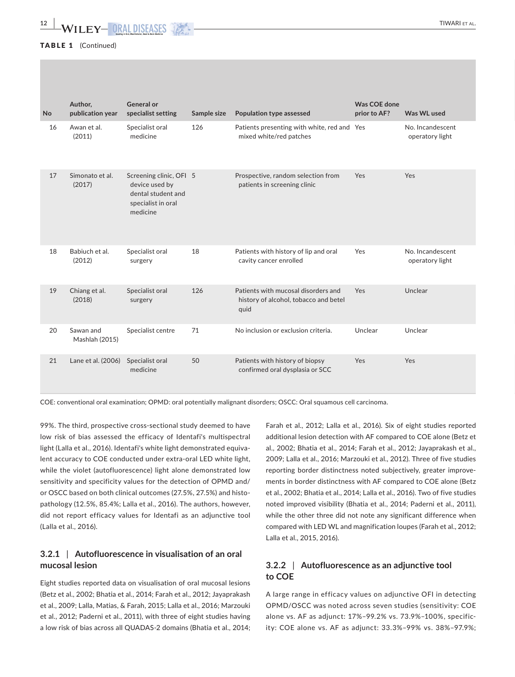| No | Author,<br>publication year | <b>General or</b><br>specialist setting                                                           | Sample size | Population type assessed                                                             | Was COE done<br>prior to AF? | Was WL used                         |
|----|-----------------------------|---------------------------------------------------------------------------------------------------|-------------|--------------------------------------------------------------------------------------|------------------------------|-------------------------------------|
| 16 | Awan et al.<br>(2011)       | Specialist oral<br>medicine                                                                       | 126         | Patients presenting with white, red and Yes<br>mixed white/red patches               |                              | No. Incandescent<br>operatory light |
| 17 | Simonato et al.<br>(2017)   | Screening clinic, OFI 5<br>device used by<br>dental student and<br>specialist in oral<br>medicine |             | Prospective, random selection from<br>patients in screening clinic                   | Yes                          | Yes                                 |
| 18 | Babiuch et al.<br>(2012)    | Specialist oral<br>surgery                                                                        | 18          | Patients with history of lip and oral<br>cavity cancer enrolled                      | Yes                          | No. Incandescent<br>operatory light |
| 19 | Chiang et al.<br>(2018)     | Specialist oral<br>surgery                                                                        | 126         | Patients with mucosal disorders and<br>history of alcohol, tobacco and betel<br>quid | Yes                          | Unclear                             |
| 20 | Sawan and<br>Mashlah (2015) | Specialist centre                                                                                 | 71          | No inclusion or exclusion criteria.                                                  | Unclear                      | Unclear                             |
| 21 | Lane et al. (2006)          | Specialist oral<br>medicine                                                                       | 50          | Patients with history of biopsy<br>confirmed oral dysplasia or SCC                   | Yes                          | Yes                                 |

COE: conventional oral examination; OPMD: oral potentially malignant disorders; OSCC: Oral squamous cell carcinoma.

99%. The third, prospective cross‐sectional study deemed to have low risk of bias assessed the efficacy of Identafi's multispectral light (Lalla et al., 2016). Identafi's white light demonstrated equivalent accuracy to COE conducted under extra-oral LED white light, while the violet (autofluorescence) light alone demonstrated low sensitivity and specificity values for the detection of OPMD and/ or OSCC based on both clinical outcomes (27.5%, 27.5%) and histo‐ pathology (12.5%, 85.4%; Lalla et al., 2016). The authors, however, did not report efficacy values for Identafi as an adjunctive tool (Lalla et al., 2016).

# **3.2.1** | **Autofluorescence in visualisation of an oral mucosal lesion**

Eight studies reported data on visualisation of oral mucosal lesions (Betz et al., 2002; Bhatia et al., 2014; Farah et al., 2012; Jayaprakash et al., 2009; Lalla, Matias, & Farah, 2015; Lalla et al., 2016; Marzouki et al., 2012; Paderni et al., 2011), with three of eight studies having a low risk of bias across all QUADAS‐2 domains (Bhatia et al., 2014;

Farah et al., 2012; Lalla et al., 2016). Six of eight studies reported additional lesion detection with AF compared to COE alone (Betz et al., 2002; Bhatia et al., 2014; Farah et al., 2012; Jayaprakash et al., 2009; Lalla et al., 2016; Marzouki et al., 2012). Three of five studies reporting border distinctness noted subjectively, greater improve‐ ments in border distinctness with AF compared to COE alone (Betz et al., 2002; Bhatia et al., 2014; Lalla et al., 2016). Two of five studies noted improved visibility (Bhatia et al., 2014; Paderni et al., 2011), while the other three did not note any significant difference when compared with LED WL and magnification loupes (Farah et al., 2012; Lalla et al., 2015, 2016).

# **3.2.2** | **Autofluorescence as an adjunctive tool to COE**

A large range in efficacy values on adjunctive OFI in detecting OPMD/OSCC was noted across seven studies (sensitivity: COE alone vs. AF as adjunct: 17%–99.2% vs. 73.9%–100%, specific‐ ity: COE alone vs. AF as adjunct: 33.3%–99% vs. 38%–97.9%;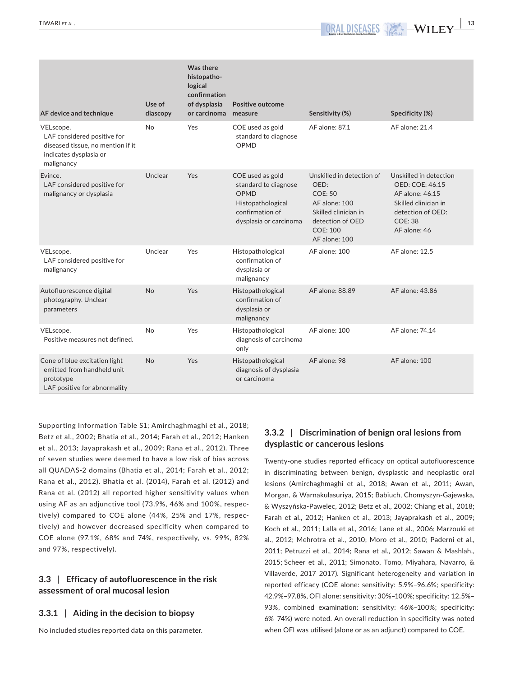Autofluorescence digital photography. Unclear

Positive measures not defined.

Cone of blue excitation light emitted from handheld unit

LAF positive for abnormality

parameters

prototype

 $VELscope.$ 

| AF device and technique                                                                                               | Use of<br>diascopy | Was there<br>histopatho-<br>logical<br>confirmation<br>of dysplasia<br>or carcinoma measure | Positive outcome                                                                                                   | Sensitivity (%)                                                                                                                                      | Specificity (%)                                                                                                                                    |
|-----------------------------------------------------------------------------------------------------------------------|--------------------|---------------------------------------------------------------------------------------------|--------------------------------------------------------------------------------------------------------------------|------------------------------------------------------------------------------------------------------------------------------------------------------|----------------------------------------------------------------------------------------------------------------------------------------------------|
| VELscope.<br>LAF considered positive for<br>diseased tissue, no mention if it<br>indicates dysplasia or<br>malignancy | No                 | Yes                                                                                         | COE used as gold<br>standard to diagnose<br>OPMD                                                                   | AF alone: 87.1                                                                                                                                       | AF alone: 21.4                                                                                                                                     |
| Evince.<br>LAF considered positive for<br>malignancy or dysplasia                                                     | Unclear            | Yes                                                                                         | COE used as gold<br>standard to diagnose<br>OPMD<br>Histopathological<br>confirmation of<br>dysplasia or carcinoma | Unskilled in detection of<br>OED:<br><b>COE: 50</b><br>AF alone: 100<br>Skilled clinician in<br>detection of OED<br><b>COE: 100</b><br>AF alone: 100 | Unskilled in detection<br><b>OED: COE: 46.15</b><br>AF alone: 46.15<br>Skilled clinician in<br>detection of OED:<br><b>COE: 38</b><br>AF alone: 46 |
| VELscope.<br>LAF considered positive for<br>malignancy                                                                | Unclear            | Yes                                                                                         | Histopathological<br>confirmation of<br>dysplasia or<br>malignancy                                                 | AF alone: 100                                                                                                                                        | AF alone: 12.5                                                                                                                                     |

confirmation of dysplasia or malignancy

only

diagnosis of carcinoma

diagnosis of dysplasia or carcinoma

No Yes Histopathological

No Yes Histopathological

No Yes Histopathological

Supporting Information Table S1; Amirchaghmaghi et al., 2018; Betz et al., 2002; Bhatia et al., 2014; Farah et al., 2012; Hanken et al., 2013; Jayaprakash et al., 2009; Rana et al., 2012). Three of seven studies were deemed to have a low risk of bias across all QUADAS‐2 domains (Bhatia et al., 2014; Farah et al., 2012; Rana et al., 2012). Bhatia et al. (2014), Farah et al. (2012) and Rana et al. (2012) all reported higher sensitivity values when using AF as an adjunctive tool (73.9%, 46% and 100%, respec‐ tively) compared to COE alone (44%, 25% and 17%, respec‐ tively) and however decreased specificity when compared to COE alone (97.1%, 68% and 74%, respectively, vs. 99%, 82% and 97%, respectively).

# **3.3** | **Efficacy of autofluorescence in the risk assessment of oral mucosal lesion**

## **3.3.1** | **Aiding in the decision to biopsy**

No included studies reported data on this parameter.

# **3.3.2** | **Discrimination of benign oral lesions from dysplastic or cancerous lesions**

AF alone: 88.89 AF alone: 43.86

AF alone: 100 AF alone: 74.14

AF alone: 98 AF alone: 100

Twenty‐one studies reported efficacy on optical autofluorescence in discriminating between benign, dysplastic and neoplastic oral lesions (Amirchaghmaghi et al., 2018; Awan et al., 2011; Awan, Morgan, & Warnakulasuriya, 2015; Babiuch, Chomyszyn‐Gajewska, & Wyszyńska‐Pawelec, 2012; Betz et al., 2002; Chiang et al., 2018; Farah et al., 2012; Hanken et al., 2013; Jayaprakash et al., 2009; Koch et al., 2011; Lalla et al., 2016; Lane et al., 2006; Marzouki et al., 2012; Mehrotra et al., 2010; Moro et al., 2010; Paderni et al., 2011; Petruzzi et al., 2014; Rana et al., 2012; Sawan & Mashlah., 2015; Scheer et al., 2011; Simonato, Tomo, Miyahara, Navarro, & Villaverde, 2017 2017). Significant heterogeneity and variation in reported efficacy (COE alone: sensitivity: 5.9%–96.6%; specificity: 42.9%–97.8%, OFI alone: sensitivity: 30%–100%; specificity: 12.5%– 93%, combined examination: sensitivity: 46%–100%; specificity: 6%–74%) were noted. An overall reduction in specificity was noted when OFI was utilised (alone or as an adjunct) compared to COE.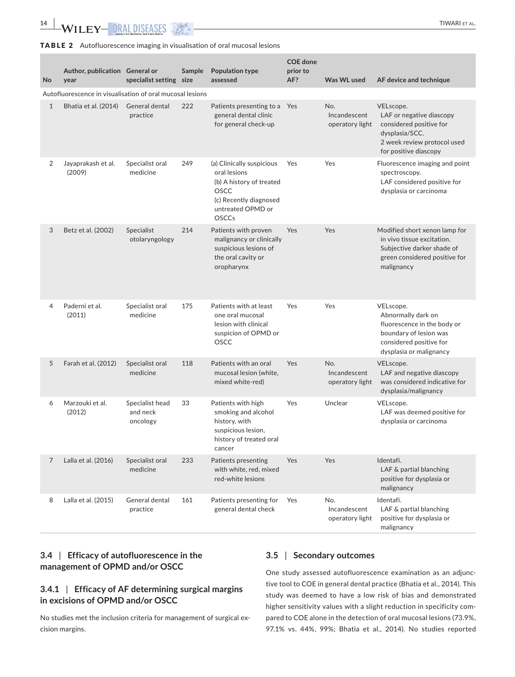## TABLE 2 Autofluorescence imaging in visualisation of oral mucosal lesions

| No             | Author, publication General or<br>year                    | specialist setting size                 | Sample | <b>Population type</b><br>assessed                                                                                                                  | <b>COE</b> done<br>prior to<br>AF? | Was WL used                            | AF device and technique                                                                                                                        |
|----------------|-----------------------------------------------------------|-----------------------------------------|--------|-----------------------------------------------------------------------------------------------------------------------------------------------------|------------------------------------|----------------------------------------|------------------------------------------------------------------------------------------------------------------------------------------------|
|                | Autofluorescence in visualisation of oral mucosal lesions |                                         |        |                                                                                                                                                     |                                    |                                        |                                                                                                                                                |
| $\mathbf{1}$   | Bhatia et al. (2014)                                      | General dental<br>practice              | 222    | Patients presenting to a Yes<br>general dental clinic<br>for general check-up                                                                       |                                    | No.<br>Incandescent<br>operatory light | VELscope.<br>LAF or negative diascopy<br>considered positive for<br>dysplasia/SCC.<br>2 week review protocol used<br>for positive diascopy     |
| 2              | Jayaprakash et al.<br>(2009)                              | Specialist oral<br>medicine             | 249    | (a) Clinically suspicious<br>oral lesions<br>(b) A history of treated<br><b>OSCC</b><br>(c) Recently diagnosed<br>untreated OPMD or<br><b>OSCCs</b> | Yes                                | Yes                                    | Fluorescence imaging and point<br>spectroscopy.<br>LAF considered positive for<br>dysplasia or carcinoma                                       |
| 3              | Betz et al. (2002)                                        | Specialist<br>otolaryngology            | 214    | Patients with proven<br>malignancy or clinically<br>suspicious lesions of<br>the oral cavity or<br>oropharynx                                       | Yes                                | Yes                                    | Modified short xenon lamp for<br>in vivo tissue excitation.<br>Subjective darker shade of<br>green considered positive for<br>malignancy       |
| $\overline{4}$ | Paderni et al.<br>(2011)                                  | Specialist oral<br>medicine             | 175    | Patients with at least<br>one oral mucosal<br>lesion with clinical<br>suspicion of OPMD or<br><b>OSCC</b>                                           | Yes                                | Yes                                    | VELscope.<br>Abnormally dark on<br>fluorescence in the body or<br>boundary of lesion was<br>considered positive for<br>dysplasia or malignancy |
| 5              | Farah et al. (2012)                                       | Specialist oral<br>medicine             | 118    | Patients with an oral<br>mucosal lesion (white,<br>mixed white-red)                                                                                 | Yes                                | No.<br>Incandescent<br>operatory light | VELscope.<br>LAF and negative diascopy<br>was considered indicative for<br>dysplasia/malignancy                                                |
| 6              | Marzouki et al.<br>(2012)                                 | Specialist head<br>and neck<br>oncology | 33     | Patients with high<br>smoking and alcohol<br>history, with<br>suspicious lesion,<br>history of treated oral<br>cancer                               | Yes                                | Unclear                                | VELscope.<br>LAF was deemed positive for<br>dysplasia or carcinoma                                                                             |
| 7              | Lalla et al. (2016)                                       | Specialist oral<br>medicine             | 233    | Patients presenting<br>with white, red, mixed<br>red-white lesions                                                                                  | Yes                                | Yes                                    | Identafi.<br>LAF & partial blanching<br>positive for dysplasia or<br>malignancy                                                                |
| 8              | Lalla et al. (2015)                                       | General dental<br>practice              | 161    | Patients presenting for<br>general dental check                                                                                                     | Yes                                | No.<br>Incandescent<br>operatory light | Identafi.<br>LAF & partial blanching<br>positive for dysplasia or<br>malignancy                                                                |

# **3.4** | **Efficacy of autofluorescence in the management of OPMD and/or OSCC**

# **3.4.1** | **Efficacy of AF determining surgical margins in excisions of OPMD and/or OSCC**

No studies met the inclusion criteria for management of surgical ex‐ cision margins.

# **3.5** | **Secondary outcomes**

One study assessed autofluorescence examination as an adjunc‐ tive tool to COE in general dental practice (Bhatia et al., 2014). This study was deemed to have a low risk of bias and demonstrated higher sensitivity values with a slight reduction in specificity compared to COE alone in the detection of oral mucosal lesions (73.9%, 97.1% vs. 44%, 99%; Bhatia et al., 2014). No studies reported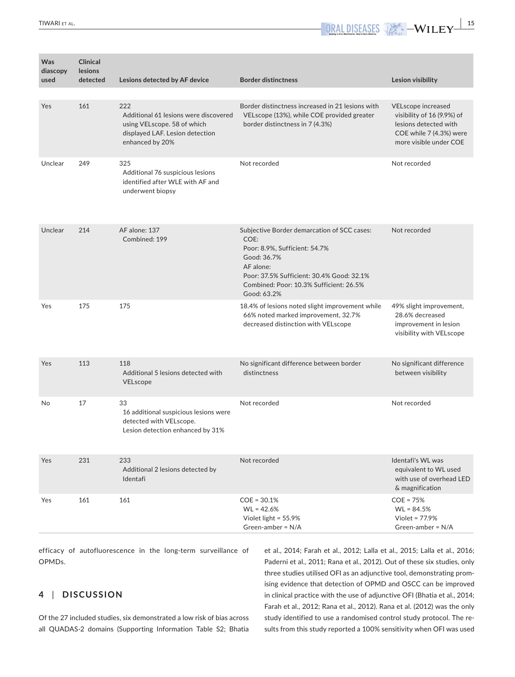**Was diascopy used Clinical lesions detected Lesions detected by AF device Border distinctness Lesion visibility** Yes 161 222 Additional 61 lesions were discovered using VELscope. 58 of which displayed LAF. Lesion detection enhanced by 20% Border distinctness increased in 21 lesions with VELscope (13%), while COE provided greater border distinctness in 7 (4.3%) VELscope increased visibility of 16 (9.9%) of lesions detected with COE while 7 (4.3%) were more visible under COE Unclear 249 325 Additional 76 suspicious lesions identified after WLE with AF and underwent biopsy Not recorded Not recorded Unclear 214 AF alone: 137 Combined: 199 Subjective Border demarcation of SCC cases: COE: Poor: 8.9%, Sufficient: 54.7% Good: 36.7% AF alone: Poor: 37.5% Sufficient: 30.4% Good: 32.1% Combined: Poor: 10.3% Sufficient: 26.5% Good: 63.2% Not recorded Yes 175 175 175 18.4% of lesions noted slight improvement while 66% noted marked improvement, 32.7% decreased distinction with VELscope 49% slight improvement, 28.6% decreased improvement in lesion visibility with VELscope Yes 113 118 Additional 5 lesions detected with VELscope No significant difference between border distinctness No significant difference between visibility No 17 33 16 additional suspicious lesions were detected with VELscope. Lesion detection enhanced by 31% Not recorded Not recorded Yes 231 233 Additional 2 lesions detected by Identafi Not recorded International International International International International International International equivalent to WL used with use of overhead LED & magnification Yes 161 161 161 COE = 30.1%  $WL = 42.6%$ Violet light = 55.9% Green‐amber = N/A COE = 75%  $WI = 84.5%$ Violet = 77.9% Green‐amber = N/A

efficacy of autofluorescence in the long-term surveillance of OPMDs.

# **4** | **DISCUSSION**

Of the 27 included studies, six demonstrated a low risk of bias across all QUADAS‐2 domains (Supporting Information Table S2; Bhatia et al., 2014; Farah et al., 2012; Lalla et al., 2015; Lalla et al., 2016; Paderni et al., 2011; Rana et al., 2012). Out of these six studies, only three studies utilised OFI as an adjunctive tool, demonstrating prom‐ ising evidence that detection of OPMD and OSCC can be improved in clinical practice with the use of adjunctive OFI (Bhatia et al., 2014; Farah et al., 2012; Rana et al., 2012). Rana et al. (2012) was the only study identified to use a randomised control study protocol. The re‐ sults from this study reported a 100% sensitivity when OFI was used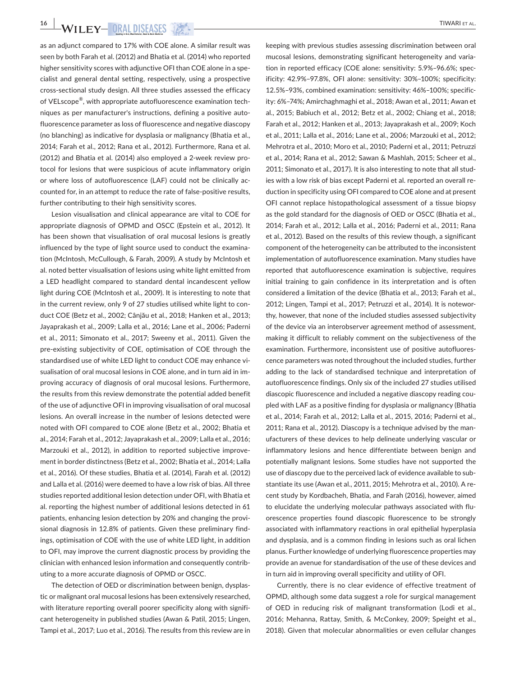**16 WILEY ORAL DISEASES** 

as an adjunct compared to 17% with COE alone. A similar result was seen by both Farah et al. (2012) and Bhatia et al. (2014) who reported higher sensitivity scores with adjunctive OFI than COE alone in a specialist and general dental setting, respectively, using a prospective cross‐sectional study design. All three studies assessed the efficacy of VELscope®, with appropriate autofluorescence examination tech‐ niques as per manufacturer's instructions, defining a positive auto‐ fluorescence parameter as loss of fluorescence and negative diascopy (no blanching) as indicative for dysplasia or malignancy (Bhatia et al., 2014; Farah et al., 2012; Rana et al., 2012). Furthermore, Rana et al. (2012) and Bhatia et al. (2014) also employed a 2‐week review pro‐ tocol for lesions that were suspicious of acute inflammatory origin or where loss of autofluorescence (LAF) could not be clinically ac‐ counted for, in an attempt to reduce the rate of false‐positive results, further contributing to their high sensitivity scores.

Lesion visualisation and clinical appearance are vital to COE for appropriate diagnosis of OPMD and OSCC (Epstein et al., 2012). It has been shown that visualisation of oral mucosal lesions is greatly influenced by the type of light source used to conduct the examina‐ tion (McIntosh, McCullough, & Farah, 2009). A study by McIntosh et al. noted better visualisation of lesions using white light emitted from a LED headlight compared to standard dental incandescent yellow light during COE (McIntosh et al., 2009). It is interesting to note that in the current review, only 9 of 27 studies utilised white light to conduct COE (Betz et al., 2002; Cânjău et al., 2018; Hanken et al., 2013; Jayaprakash et al., 2009; Lalla et al., 2016; Lane et al., 2006; Paderni et al., 2011; Simonato et al., 2017; Sweeny et al., 2011). Given the pre‐existing subjectivity of COE, optimisation of COE through the standardised use of white LED light to conduct COE may enhance vi‐ sualisation of oral mucosal lesions in COE alone, and in turn aid in im‐ proving accuracy of diagnosis of oral mucosal lesions. Furthermore, the results from this review demonstrate the potential added benefit of the use of adjunctive OFI in improving visualisation of oral mucosal lesions. An overall increase in the number of lesions detected were noted with OFI compared to COE alone (Betz et al., 2002; Bhatia et al., 2014; Farah et al., 2012; Jayaprakash et al., 2009; Lalla et al., 2016; Marzouki et al., 2012), in addition to reported subjective improve‐ ment in border distinctness (Betz et al., 2002; Bhatia et al., 2014; Lalla et al., 2016). Of these studies, Bhatia et al. (2014), Farah et al. (2012) and Lalla et al. (2016) were deemed to have a low risk of bias. All three studies reported additional lesion detection under OFI, with Bhatia et al. reporting the highest number of additional lesions detected in 61 patients, enhancing lesion detection by 20% and changing the provi‐ sional diagnosis in 12.8% of patients. Given these preliminary find‐ ings, optimisation of COE with the use of white LED light, in addition to OFI, may improve the current diagnostic process by providing the clinician with enhanced lesion information and consequently contrib‐ uting to a more accurate diagnosis of OPMD or OSCC.

The detection of OED or discrimination between benign, dysplas‐ tic or malignant oral mucosal lesions has been extensively researched, with literature reporting overall poorer specificity along with significant heterogeneity in published studies (Awan & Patil, 2015; Lingen, Tampi et al., 2017; Luo et al., 2016). The results from this review are in keeping with previous studies assessing discrimination between oral mucosal lesions, demonstrating significant heterogeneity and varia‐ tion in reported efficacy (COE alone: sensitivity: 5.9%–96.6%; spec‐ ificity: 42.9%–97.8%, OFI alone: sensitivity: 30%–100%; specificity: 12.5%–93%, combined examination: sensitivity: 46%–100%; specific‐ ity: 6%–74%; Amirchaghmaghi et al., 2018; Awan et al., 2011; Awan et al., 2015; Babiuch et al., 2012; Betz et al., 2002; Chiang et al., 2018; Farah et al., 2012; Hanken et al., 2013; Jayaprakash et al., 2009; Koch et al., 2011; Lalla et al., 2016; Lane et al., 2006; Marzouki et al., 2012; Mehrotra et al., 2010; Moro et al., 2010; Paderni et al., 2011; Petruzzi et al., 2014; Rana et al., 2012; Sawan & Mashlah, 2015; Scheer et al., 2011; Simonato et al., 2017). It is also interesting to note that all stud‐ ies with a low risk of bias except Paderni et al. reported an overall re‐ duction in specificity using OFI compared to COE alone and at present OFI cannot replace histopathological assessment of a tissue biopsy as the gold standard for the diagnosis of OED or OSCC (Bhatia et al., 2014; Farah et al., 2012; Lalla et al., 2016; Paderni et al., 2011; Rana et al., 2012). Based on the results of this review though, a significant component of the heterogeneity can be attributed to the inconsistent implementation of autofluorescence examination. Many studies have reported that autofluorescence examination is subjective, requires initial training to gain confidence in its interpretation and is often considered a limitation of the device (Bhatia et al., 2013; Farah et al., 2012; Lingen, Tampi et al., 2017; Petruzzi et al., 2014). It is notewor‐ thy, however, that none of the included studies assessed subjectivity of the device via an interobserver agreement method of assessment, making it difficult to reliably comment on the subjectiveness of the examination. Furthermore, inconsistent use of positive autofluores‐ cence parameters was noted throughout the included studies, further adding to the lack of standardised technique and interpretation of autofluorescence findings. Only six of the included 27 studies utilised diascopic fluorescence and included a negative diascopy reading cou‐ pled with LAF as a positive finding for dysplasia or malignancy (Bhatia et al., 2014; Farah et al., 2012; Lalla et al., 2015, 2016; Paderni et al., 2011; Rana et al., 2012). Diascopy is a technique advised by the man‐ ufacturers of these devices to help delineate underlying vascular or inflammatory lesions and hence differentiate between benign and potentially malignant lesions. Some studies have not supported the use of diascopy due to the perceived lack of evidence available to substantiate its use (Awan et al., 2011, 2015; Mehrotra et al., 2010). A re‐ cent study by Kordbacheh, Bhatia, and Farah (2016), however, aimed to elucidate the underlying molecular pathways associated with flu‐ orescence properties found diascopic fluorescence to be strongly associated with inflammatory reactions in oral epithelial hyperplasia and dysplasia, and is a common finding in lesions such as oral lichen planus. Further knowledge of underlying fluorescence properties may provide an avenue for standardisation of the use of these devices and in turn aid in improving overall specificity and utility of OFI.

Currently, there is no clear evidence of effective treatment of OPMD, although some data suggest a role for surgical management of OED in reducing risk of malignant transformation (Lodi et al., 2016; Mehanna, Rattay, Smith, & McConkey, 2009; Speight et al., 2018). Given that molecular abnormalities or even cellular changes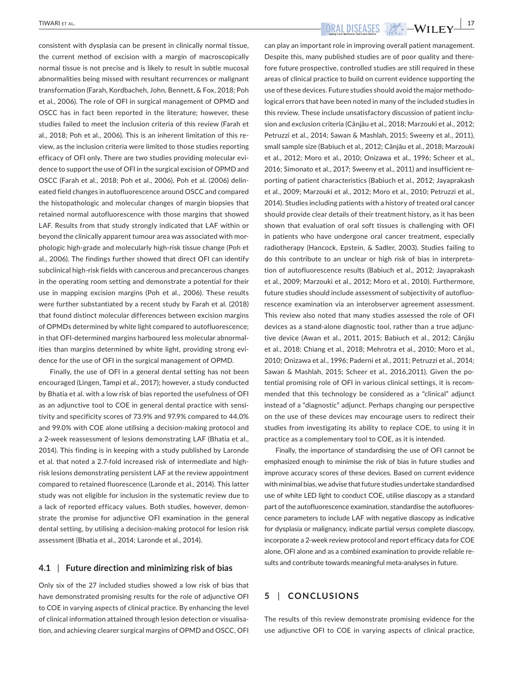consistent with dysplasia can be present in clinically normal tissue, the current method of excision with a margin of macroscopically normal tissue is not precise and is likely to result in subtle mucosal abnormalities being missed with resultant recurrences or malignant transformation (Farah, Kordbacheh, John, Bennett, & Fox, 2018; Poh et al., 2006). The role of OFI in surgical management of OPMD and OSCC has in fact been reported in the literature; however, these studies failed to meet the inclusion criteria of this review (Farah et al., 2018; Poh et al., 2006). This is an inherent limitation of this re‐ view, as the inclusion criteria were limited to those studies reporting efficacy of OFI only. There are two studies providing molecular evi‐ dence to support the use of OFI in the surgical excision of OPMD and OSCC (Farah et al., 2018; Poh et al., 2006). Poh et al. (2006) delin‐ eated field changes in autofluorescence around OSCC and compared the histopathologic and molecular changes of margin biopsies that retained normal autofluorescence with those margins that showed LAF. Results from that study strongly indicated that LAF within or beyond the clinically apparent tumour area was associated with morphologic high‐grade and molecularly high‐risk tissue change (Poh et al., 2006). The findings further showed that direct OFI can identify subclinical high‐risk fields with cancerous and precancerous changes in the operating room setting and demonstrate a potential for their use in mapping excision margins (Poh et al., 2006). These results were further substantiated by a recent study by Farah et al. (2018) that found distinct molecular differences between excision margins of OPMDs determined by white light compared to autofluorescence; in that OFI-determined margins harboured less molecular abnormalities than margins determined by white light, providing strong evidence for the use of OFI in the surgical management of OPMD.

Finally, the use of OFI in a general dental setting has not been encouraged (Lingen, Tampi et al., 2017); however, a study conducted by Bhatia et al. with a low risk of bias reported the usefulness of OFI as an adjunctive tool to COE in general dental practice with sensitivity and specificity scores of 73.9% and 97.9% compared to 44.0% and 99.0% with COE alone utilising a decision‐making protocol and a 2‐week reassessment of lesions demonstrating LAF (Bhatia et al., 2014). This finding is in keeping with a study published by Laronde et al. that noted a 2.7‐fold increased risk of intermediate and high‐ risk lesions demonstrating persistent LAF at the review appointment compared to retained fluorescence (Laronde et al., 2014). This latter study was not eligible for inclusion in the systematic review due to a lack of reported efficacy values. Both studies, however, demon‐ strate the promise for adjunctive OFI examination in the general dental setting, by utilising a decision‐making protocol for lesion risk assessment (Bhatia et al., 2014; Laronde et al., 2014).

#### **4.1** | **Future direction and minimizing risk of bias**

Only six of the 27 included studies showed a low risk of bias that have demonstrated promising results for the role of adjunctive OFI to COE in varying aspects of clinical practice. By enhancing the level of clinical information attained through lesion detection or visualisa‐ tion, and achieving clearer surgical margins of OPMD and OSCC, OFI

 **TIWARI ET AL. NOTE 17 ORAL DISEASES 12 H**  $\sim$  -WILEY  $\frac{17}{47}$ 

can play an important role in improving overall patient management. Despite this, many published studies are of poor quality and there‐ fore future prospective, controlled studies are still required in these areas of clinical practice to build on current evidence supporting the use of these devices. Future studies should avoid the major methodo‐ logical errors that have been noted in many of the included studies in this review. These include unsatisfactory discussion of patient inclu‐ sion and exclusion criteria (Cânjău et al., 2018; Marzouki et al., 2012; Petruzzi et al., 2014; Sawan & Mashlah, 2015; Sweeny et al., 2011), small sample size (Babiuch et al., 2012; Cânjău et al., 2018; Marzouki et al., 2012; Moro et al., 2010; Onizawa et al., 1996; Scheer et al., 2016; Simonato et al., 2017; Sweeny et al., 2011) and insufficient re‐ porting of patient characteristics (Babiuch et al., 2012; Jayaprakash et al., 2009; Marzouki et al., 2012; Moro et al., 2010; Petruzzi et al., 2014). Studies including patients with a history of treated oral cancer should provide clear details of their treatment history, as it has been shown that evaluation of oral soft tissues is challenging with OFI in patients who have undergone oral cancer treatment, especially radiotherapy (Hancock, Epstein, & Sadler, 2003). Studies failing to do this contribute to an unclear or high risk of bias in interpreta‐ tion of autofluorescence results (Babiuch et al., 2012; Jayaprakash et al., 2009; Marzouki et al., 2012; Moro et al., 2010). Furthermore, future studies should include assessment of subjectivity of autofluorescence examination via an interobserver agreement assessment. This review also noted that many studies assessed the role of OFI devices as a stand-alone diagnostic tool, rather than a true adjunctive device (Awan et al., 2011, 2015; Babiuch et al., 2012; Cânjău et al., 2018; Chiang et al., 2018; Mehrotra et al., 2010; Moro et al., 2010; Onizawa et al., 1996; Paderni et al., 2011; Petruzzi et al., 2014; Sawan & Mashlah, 2015; Scheer et al., 2016,2011). Given the po‐ tential promising role of OFI in various clinical settings, it is recom‐ mended that this technology be considered as a "clinical" adjunct instead of a "diagnostic" adjunct. Perhaps changing our perspective on the use of these devices may encourage users to redirect their studies from investigating its ability to replace COE, to using it in practice as a complementary tool to COE, as it is intended.

Finally, the importance of standardising the use of OFI cannot be emphasized enough to minimise the risk of bias in future studies and improve accuracy scores of these devices. Based on current evidence with minimal bias, we advise that future studies undertake standardised use of white LED light to conduct COE, utilise diascopy as a standard part of the autofluorescence examination, standardise the autofluorescence parameters to include LAF with negative diascopy as indicative for dysplasia or malignancy, indicate partial versus complete diascopy, incorporate a 2‐week review protocol and report efficacy data for COE alone, OFI alone and as a combined examination to provide reliable re‐ sults and contribute towards meaningful meta‐analyses in future.

# **5** | **CONCLUSIONS**

The results of this review demonstrate promising evidence for the use adjunctive OFI to COE in varying aspects of clinical practice,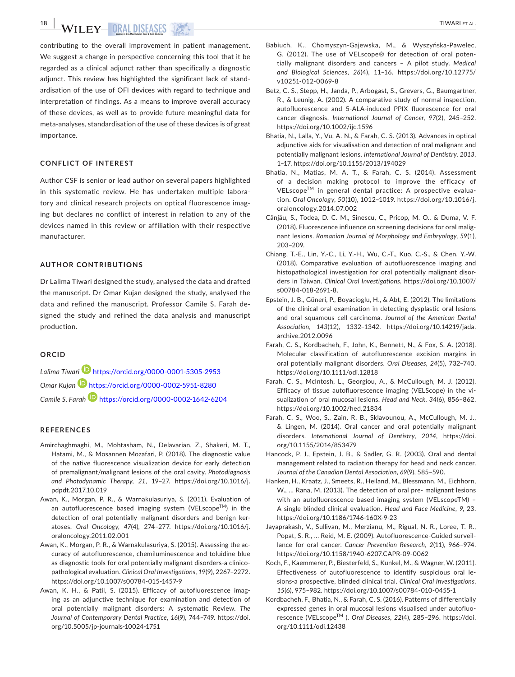**18 TIWARI ET AL.** TIWARI ET AL.

contributing to the overall improvement in patient management. We suggest a change in perspective concerning this tool that it be regarded as a clinical adjunct rather than specifically a diagnostic adjunct. This review has highlighted the significant lack of stand‐ ardisation of the use of OFI devices with regard to technique and interpretation of findings. As a means to improve overall accuracy of these devices, as well as to provide future meaningful data for meta‐analyses, standardisation of the use of these devices is of great importance.

## **CONFLICT OF INTEREST**

Author CSF is senior or lead author on several papers highlighted in this systematic review. He has undertaken multiple laboratory and clinical research projects on optical fluorescence imaging but declares no conflict of interest in relation to any of the devices named in this review or affiliation with their respective manufacturer.

## **AUTHOR CONTRIBUTIONS**

Dr Lalima Tiwari designed the study, analysed the data and drafted the manuscript. Dr Omar Kujan designed the study, analysed the data and refined the manuscript. Professor Camile S. Farah de‐ signed the study and refined the data analysis and manuscript production.

#### **ORCID**

*Lalima Tiwar[i](https://orcid.org/0000-0001-5305-2953)* <https://orcid.org/0000-0001-5305-2953> *Omar Kujan* <https://orcid.org/0000-0002-5951-8280> *Camile S. Fara[h](https://orcid.org/0000-0002-1642-6204)* <https://orcid.org/0000-0002-1642-6204>

#### **REFERENCES**

- Amirchaghmaghi, M., Mohtasham, N., Delavarian, Z., Shakeri, M. T., Hatami, M., & Mosannen Mozafari, P. (2018). The diagnostic value of the native fluorescence visualization device for early detection of premalignant/malignant lesions of the oral cavity. *Photodiagnosis and Photodynamic Therapy*, *21*, 19–27. [https://doi.org/10.1016/j.](https://doi.org/10.1016/j.pdpdt.2017.10.019) [pdpdt.2017.10.019](https://doi.org/10.1016/j.pdpdt.2017.10.019)
- Awan, K., Morgan, P. R., & Warnakulasuriya, S. (2011). Evaluation of an autofluorescence based imaging system (VELscope $^{TM}$ ) in the detection of oral potentially malignant disorders and benign ker‐ atoses. *Oral Oncology*, *47*(4), 274–277. [https://doi.org/10.1016/j.](https://doi.org/10.1016/j.oraloncology.2011.02.001) [oraloncology.2011.02.001](https://doi.org/10.1016/j.oraloncology.2011.02.001)
- Awan, K., Morgan, P. R., & Warnakulasuriya, S. (2015). Assessing the ac‐ curacy of autofluorescence, chemiluminescence and toluidine blue as diagnostic tools for oral potentially malignant disorders‐a clinico‐ pathological evaluation. *Clinical Oral Investigations*, *19*(9), 2267–2272. <https://doi.org/10.1007/s00784-015-1457-9>
- Awan, K. H., & Patil, S. (2015). Efficacy of autofluorescence imaging as an adjunctive technique for examination and detection of oral potentially malignant disorders: A systematic Review. *The Journal of Contemporary Dental Practice*, *16*(9), 744–749. [https://doi.](https://doi.org/10.5005/jp-journals-10024-1751) [org/10.5005/jp-journals-10024-1751](https://doi.org/10.5005/jp-journals-10024-1751)
- Babiuch, K., Chomyszyn‐Gajewska, M., & Wyszyńska‐Pawelec, G. (2012). The use of VELscope® for detection of oral poten‐ tially malignant disorders and cancers – A pilot study. *Medical and Biological Sciences*, *26*(4), 11–16. [https://doi.org/10.12775/](https://doi.org/10.12775/v10251-012-0069-8) [v10251-012-0069-8](https://doi.org/10.12775/v10251-012-0069-8)
- Betz, C. S., Stepp, H., Janda, P., Arbogast, S., Grevers, G., Baumgartner, R., & Leunig, A. (2002). A comparative study of normal inspection, autofluorescence and 5‐ALA‐induced PPIX fluorescence for oral cancer diagnosis. *International Journal of Cancer*, *97*(2), 245–252. <https://doi.org/10.1002/ijc.1596>
- Bhatia, N., Lalla, Y., Vu, A. N., & Farah, C. S. (2013). Advances in optical adjunctive aids for visualisation and detection of oral malignant and potentially malignant lesions. *International Journal of Dentistry*, *2013*, 1–17, <https://doi.org/10.1155/2013/194029>
- Bhatia, N., Matias, M. A. T., & Farah, C. S. (2014). Assessment of a decision making protocol to improve the efficacy of VELscope™ in general dental practice: A prospective evaluation. *Oral Oncology*, *50*(10), 1012–1019. [https://doi.org/10.1016/j.](https://doi.org/10.1016/j.oraloncology.2014.07.002) [oraloncology.2014.07.002](https://doi.org/10.1016/j.oraloncology.2014.07.002)
- Cânjău, S., Todea, D. C. M., Sinescu, C., Pricop, M. O., & Duma, V. F. (2018). Fluorescence influence on screening decisions for oral malig‐ nant lesions. *Romanian Journal of Morphology and Embryology*, *59*(1), 203–209.
- Chiang, T.‐E., Lin, Y.‐C., Li, Y.‐H., Wu, C.‐T., Kuo, C.‐S., & Chen, Y.‐W. (2018). Comparative evaluation of autofluorescence imaging and histopathological investigation for oral potentially malignant disor‐ ders in Taiwan. *Clinical Oral Investigations*. [https://doi.org/10.1007/](https://doi.org/10.1007/s00784-018-2691-8) [s00784-018-2691-8](https://doi.org/10.1007/s00784-018-2691-8).
- Epstein, J. B., Güneri, P., Boyacioglu, H., & Abt, E. (2012). The limitations of the clinical oral examination in detecting dysplastic oral lesions and oral squamous cell carcinoma. *Journal of the American Dental Association*, *143*(12), 1332–1342. [https://doi.org/10.14219/jada.](https://doi.org/10.14219/jada.archive.2012.0096) [archive.2012.0096](https://doi.org/10.14219/jada.archive.2012.0096)
- Farah, C. S., Kordbacheh, F., John, K., Bennett, N., & Fox, S. A. (2018). Molecular classification of autofluorescence excision margins in oral potentially malignant disorders. *Oral Diseases*, *24*(5), 732–740. <https://doi.org/10.1111/odi.12818>
- Farah, C. S., McIntosh, L., Georgiou, A., & McCullough, M. J. (2012). Efficacy of tissue autofluorescence imaging (VELScope) in the vi‐ sualization of oral mucosal lesions. *Head and Neck*, *34*(6), 856–862. <https://doi.org/10.1002/hed.21834>
- Farah, C. S., Woo, S., Zain, R. B., Sklavounou, A., McCullough, M. J., & Lingen, M. (2014). Oral cancer and oral potentially malignant disorders. *International Journal of Dentistry*, *2014*, [https://doi.](https://doi.org/10.1155/2014/853479) [org/10.1155/2014/853479](https://doi.org/10.1155/2014/853479)
- Hancock, P. J., Epstein, J. B., & Sadler, G. R. (2003). Oral and dental management related to radiation therapy for head and neck cancer. *Journal of the Canadian Dental Association*, *69*(9), 585–590.
- Hanken, H., Kraatz, J., Smeets, R., Heiland, M., Blessmann, M., Eichhorn, W., … Rana, M. (2013). The detection of oral pre‐ malignant lesions with an autofluorescence based imaging system (VELscopeTM) – A single blinded clinical evaluation. *Head and Face Medicine*, *9*, 23. <https://doi.org/10.1186/1746-160X-9-23>
- Jayaprakash, V., Sullivan, M., Merzianu, M., Rigual, N. R., Loree, T. R., Popat, S. R., … Reid, M. E. (2009). Autofluorescence‐Guided surveil‐ lance for oral cancer. *Cancer Prevention Research*, *2*(11), 966–974. <https://doi.org/10.1158/1940-6207.CAPR-09-0062>
- Koch, F., Kaemmerer, P., Biesterfeld, S., Kunkel, M., & Wagner, W. (2011). Effectiveness of autofluorescence to identify suspicious oral le‐ sions‐a prospective, blinded clinical trial. *Clinical Oral Investigations*, *15*(6), 975–982. <https://doi.org/10.1007/s00784-010-0455-1>
- Kordbacheh, F., Bhatia, N., & Farah, C. S. (2016). Patterns of differentially expressed genes in oral mucosal lesions visualised under autofluo‐ rescence (VELscopeTM ). *Oral Diseases*, *22*(4), 285–296. [https://doi.](https://doi.org/10.1111/odi.12438) [org/10.1111/odi.12438](https://doi.org/10.1111/odi.12438)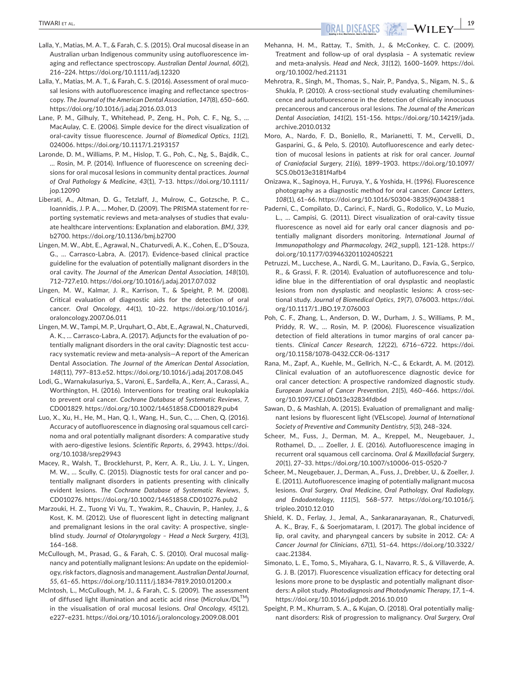- Lalla, Y., Matias, M. A. T., & Farah, C. S. (2015). Oral mucosal disease in an Australian urban Indigenous community using autofluorescence im‐ aging and reflectance spectroscopy. *Australian Dental Journal*, *60*(2), 216–224.<https://doi.org/10.1111/adj.12320>
- Lalla, Y., Matias, M. A. T., & Farah, C. S. (2016). Assessment of oral muco‐ sal lesions with autofluorescence imaging and reflectance spectroscopy. *The Journal of the American Dental Association*, *147*(8), 650–660. <https://doi.org/10.1016/j.adaj.2016.03.013>
- Lane, P. M., Gilhuly, T., Whitehead, P., Zeng, H., Poh, C. F., Ng, S., … MacAulay, C. E. (2006). Simple device for the direct visualization of oral‐cavity tissue fluorescence. *Journal of Biomedical Optics*, *11*(2), 024006.<https://doi.org/10.1117/1.2193157>
- Laronde, D. M., Williams, P. M., Hislop, T. G., Poh, C., Ng, S., Bajdik, C., … Rosin, M. P. (2014). Influence of fluorescence on screening deci‐ sions for oral mucosal lesions in community dental practices. *Journal of Oral Pathology & Medicine*, *43*(1), 7–13. [https://doi.org/10.1111/](https://doi.org/10.1111/jop.12090) [jop.12090](https://doi.org/10.1111/jop.12090)
- Liberati, A., Altman, D. G., Tetzlaff, J., Mulrow, C., Gotzsche, P. C., Ioannidis, J. P. A., … Moher, D. (2009). The PRISMA statement for re‐ porting systematic reviews and meta‐analyses of studies that evalu‐ ate healthcare interventions: Explanation and elaboration. *BMJ*, *339*, b2700.<https://doi.org/10.1136/bmj.b2700>
- Lingen, M. W., Abt, E., Agrawal, N., Chaturvedi, A. K., Cohen, E., D'Souza, G., … Carrasco‐Labra, A. (2017). Evidence‐based clinical practice guideline for the evaluation of potentially malignant disorders in the oral cavity. *The Journal of the American Dental Association*, *148*(10), 712–727.e10. <https://doi.org/10.1016/j.adaj.2017.07.032>
- Lingen, M. W., Kalmar, J. R., Karrison, T., & Speight, P. M. (2008). Critical evaluation of diagnostic aids for the detection of oral cancer. *Oral Oncology*, *44*(1), 10–22. [https://doi.org/10.1016/j.](https://doi.org/10.1016/j.oraloncology.2007.06.011) [oraloncology.2007.06.011](https://doi.org/10.1016/j.oraloncology.2007.06.011)
- Lingen, M. W., Tampi, M. P., Urquhart, O., Abt, E., Agrawal, N., Chaturvedi, A. K., ... Carrasco-Labra, A. (2017). Adjuncts for the evaluation of potentially malignant disorders in the oral cavity: Diagnostic test accu‐ racy systematic review and meta‐analysis—A report of the American Dental Association. *The Journal of the American Dental Association*, *148*(11), 797–813.e52. <https://doi.org/10.1016/j.adaj.2017.08.045>
- Lodi, G., Warnakulasuriya, S., Varoni, E., Sardella, A., Kerr, A., Carassi, A., Worthington, H. (2016). Interventions for treating oral leukoplakia to prevent oral cancer. *Cochrane Database of Systematic Reviews*, *7*, CD001829. <https://doi.org/10.1002/14651858.CD001829.pub4>
- Luo, X., Xu, H., He, M., Han, Q. I., Wang, H., Sun, C., … Chen, Q. (2016). Accuracy of autofluorescence in diagnosing oral squamous cell carci‐ noma and oral potentially malignant disorders: A comparative study with aero‐digestive lesions. *Scientific Reports*, *6*, 29943. [https://doi.](https://doi.org/10.1038/srep29943) [org/10.1038/srep29943](https://doi.org/10.1038/srep29943)
- Macey, R., Walsh, T., Brocklehurst, P., Kerr, A. R., Liu, J. L. Y., Lingen, M. W., … Scully, C. (2015). Diagnostic tests for oral cancer and po‐ tentially malignant disorders in patients presenting with clinically evident lesions. *The Cochrane Database of Systematic Reviews*, *5*, CD010276.<https://doi.org/10.1002/14651858.CD010276.pub2>
- Marzouki, H. Z., Tuong Vi Vu, T., Ywakim, R., Chauvin, P., Hanley, J., & Kost, K. M. (2012). Use of fluorescent light in detecting malignant and premalignant lesions in the oral cavity: A prospective, single‐ blind study. *Journal of Otolaryngology – Head a Neck Surgery*, *41*(3), 164–168.
- McCullough, M., Prasad, G., & Farah, C. S. (2010). Oral mucosal malig‐ nancy and potentially malignant lesions: An update on the epidemiol‐ ogy, risk factors, diagnosis and management. *Australian Dental Journal*, *55*, 61–65. <https://doi.org/10.1111/j.1834-7819.2010.01200.x>
- McIntosh, L., McCullough, M. J., & Farah, C. S. (2009). The assessment of diffused light illumination and acetic acid rinse (Microlux/DL<sup>IM</sup>) in the visualisation of oral mucosal lesions. *Oral Oncology*, *45*(12), e227–e231. <https://doi.org/10.1016/j.oraloncology.2009.08.001>
- Mehanna, H. M., Rattay, T., Smith, J., & McConkey, C. C. (2009). Treatment and follow‐up of oral dysplasia – A systematic review and meta‐analysis. *Head and Neck*, *31*(12), 1600–1609. [https://doi.](https://doi.org/10.1002/hed.21131) [org/10.1002/hed.21131](https://doi.org/10.1002/hed.21131)
- Mehrotra, R., Singh, M., Thomas, S., Nair, P., Pandya, S., Nigam, N. S., & Shukla, P. (2010). A cross‐sectional study evaluating chemilumines‐ cence and autofluorescence in the detection of clinically innocuous precancerous and cancerous oral lesions. *The Journal of the American Dental Association*, *141*(2), 151–156. [https://doi.org/10.14219/jada.](https://doi.org/10.14219/jada.archive.2010.0132) [archive.2010.0132](https://doi.org/10.14219/jada.archive.2010.0132)
- Moro, A., Nardo, F. D., Boniello, R., Marianetti, T. M., Cervelli, D., Gasparini, G., & Pelo, S. (2010). Autofluorescence and early detec‐ tion of mucosal lesions in patients at risk for oral cancer. *Journal of Craniofacial Surgery*, *21*(6), 1899–1903. [https://doi.org/10.1097/](https://doi.org/10.1097/SCS.0b013e3181f4afb4) [SCS.0b013e3181f4afb4](https://doi.org/10.1097/SCS.0b013e3181f4afb4)
- Onizawa, K., Saginoya, H., Furuya, Y., & Yoshida, H. (1996). Fluorescence photography as a diagnostic method for oral cancer. *Cancer Letters*, *108*(1), 61–66. [https://doi.org/10.1016/S0304-3835\(96\)04388-1](https://doi.org/10.1016/S0304-3835(96)04388-1)
- Paderni, C., Compilato, D., Carinci, F., Nardi, G., Rodolico, V., Lo Muzio, L., … Campisi, G. (2011). Direct visualization of oral‐cavity tissue fluorescence as novel aid for early oral cancer diagnosis and po‐ tentially malignant disorders monitoring. *International Journal of Immunopathology and Pharmacology*, *24*(2\_suppl), 121–128. [https://](https://doi.org/10.1177/03946320110240S221) [doi.org/10.1177/03946320110240S221](https://doi.org/10.1177/03946320110240S221)
- Petruzzi, M., Lucchese, A., Nardi, G. M., Lauritano, D., Favia, G., Serpico, R., & Grassi, F. R. (2014). Evaluation of autofluorescence and tolu‐ idine blue in the differentiation of oral dysplastic and neoplastic lesions from non dysplastic and neoplastic lesions: A cross-sectional study. *Journal of Biomedical Optics*, *19*(7), 076003. [https://doi.](https://doi.org/10.1117/1.JBO.19.7.076003) [org/10.1117/1.JBO.19.7.076003](https://doi.org/10.1117/1.JBO.19.7.076003)
- Poh, C. F., Zhang, L., Anderson, D. W., Durham, J. S., Williams, P. M., Priddy, R. W., … Rosin, M. P. (2006). Fluorescence visualization detection of field alterations in tumor margins of oral cancer pa‐ tients. *Clinical Cancer Research*, *12*(22), 6716–6722. [https://doi.](https://doi.org/10.1158/1078-0432.CCR-06-1317) [org/10.1158/1078-0432.CCR-06-1317](https://doi.org/10.1158/1078-0432.CCR-06-1317)
- Rana, M., Zapf, A., Kuehle, M., Gellrich, N.‐C., & Eckardt, A. M. (2012). Clinical evaluation of an autofluorescence diagnostic device for oral cancer detection: A prospective randomized diagnostic study. *European Journal of Cancer Prevention*, *21*(5), 460–466. [https://doi.](https://doi.org/10.1097/CEJ.0b013e32834fdb6d) [org/10.1097/CEJ.0b013e32834fdb6d](https://doi.org/10.1097/CEJ.0b013e32834fdb6d)
- Sawan, D., & Mashlah, A. (2015). Evaluation of premalignant and malig‐ nant lesions by fluorescent light (VELscope). *Journal of International Society of Preventive and Community Dentistry*, *5*(3), 248–324.
- Scheer, M., Fuss, J., Derman, M. A., Kreppel, M., Neugebauer, J., Rothamel, D., … Zoeller, J. E. (2016). Autofluorescence imaging in recurrent oral squamous cell carcinoma. *Oral & Maxillofacial Surgery*, *20*(1), 27–33. <https://doi.org/10.1007/s10006-015-0520-7>
- Scheer, M., Neugebauer, J., Derman, A., Fuss, J., Drebber, U., & Zoeller, J. E. (2011). Autofluorescence imaging of potentially malignant mucosa lesions. *Oral Surgery, Oral Medicine, Oral Pathology, Oral Radiology, and Endodontology*, *111*(5), 568–577. [https://doi.org/10.1016/j.](https://doi.org/10.1016/j.tripleo.2010.12.010) [tripleo.2010.12.010](https://doi.org/10.1016/j.tripleo.2010.12.010)
- Shield, K. D., Ferlay, J., Jemal, A., Sankaranarayanan, R., Chaturvedi, A. K., Bray, F., & Soerjomataram, I. (2017). The global incidence of lip, oral cavity, and pharyngeal cancers by subsite in 2012. *CA: A Cancer Journal for Clinicians*, *67*(1), 51–64. [https://doi.org/10.3322/](https://doi.org/10.3322/caac.21384) [caac.21384](https://doi.org/10.3322/caac.21384).
- Simonato, L. E., Tomo, S., Miyahara, G. I., Navarro, R. S., & Villaverde, A. G. J. B. (2017). Fluorescence visualization efficacy for detecting oral lesions more prone to be dysplastic and potentially malignant disor‐ ders: A pilot study. *Photodiagnosis and Photodynamic Therapy*, *17*, 1–4. <https://doi.org/10.1016/j.pdpdt.2016.10.010>
- Speight, P. M., Khurram, S. A., & Kujan, O. (2018). Oral potentially malig‐ nant disorders: Risk of progression to malignancy. *Oral Surgery, Oral*